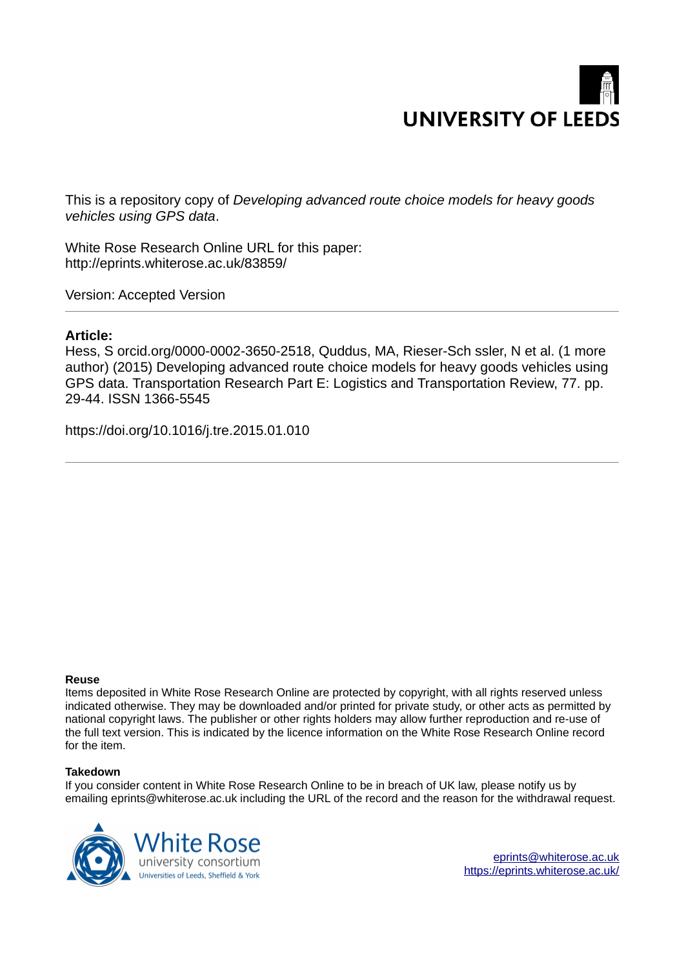

This is a repository copy of *Developing advanced route choice models for heavy goods vehicles using GPS data*.

White Rose Research Online URL for this paper: http://eprints.whiterose.ac.uk/83859/

Version: Accepted Version

### **Article:**

Hess, S orcid.org/0000-0002-3650-2518, Quddus, MA, Rieser-Sch ssler, N et al. (1 more author) (2015) Developing advanced route choice models for heavy goods vehicles using GPS data. Transportation Research Part E: Logistics and Transportation Review, 77. pp. 29-44. ISSN 1366-5545

https://doi.org/10.1016/j.tre.2015.01.010

### **Reuse**

Items deposited in White Rose Research Online are protected by copyright, with all rights reserved unless indicated otherwise. They may be downloaded and/or printed for private study, or other acts as permitted by national copyright laws. The publisher or other rights holders may allow further reproduction and re-use of the full text version. This is indicated by the licence information on the White Rose Research Online record for the item.

### **Takedown**

If you consider content in White Rose Research Online to be in breach of UK law, please notify us by emailing eprints@whiterose.ac.uk including the URL of the record and the reason for the withdrawal request.



eprints@whiterose.ac.uk https://eprints.whiterose.ac.uk/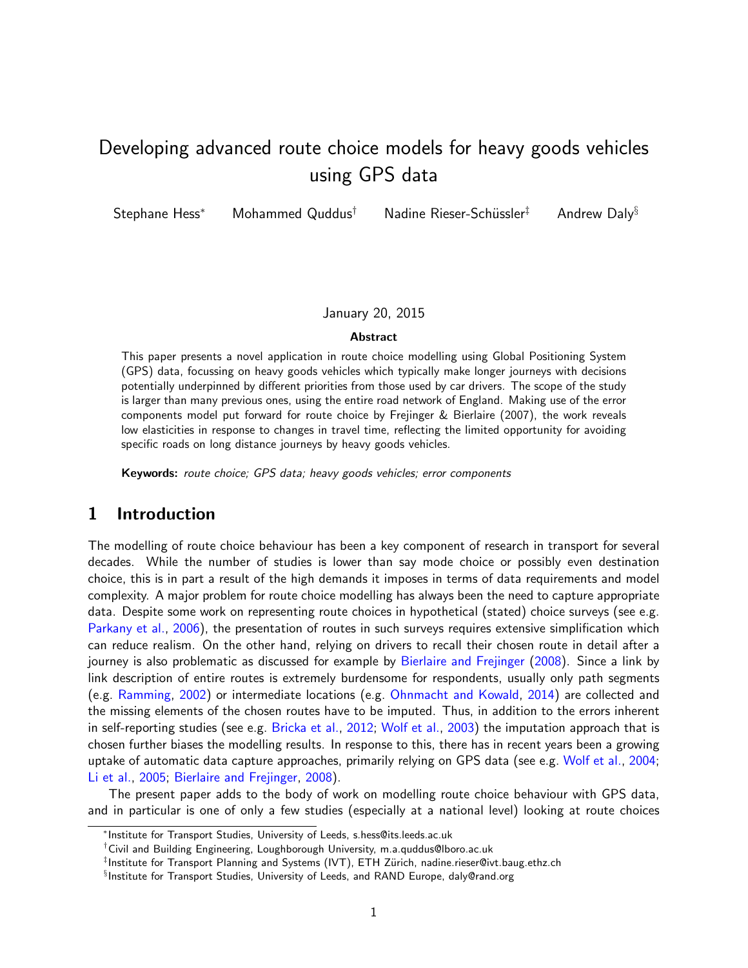# Developing advanced route choice models for heavy goods vehicles using GPS data

Stephane Hess<sup>∗</sup> Mohammed Quddus<sup>†</sup> Nadine Rieser-Schüssler<sup>‡</sup> Andrew Daly<sup>§</sup>

#### January 20, 2015

#### Abstract

This paper presents a novel application in route choice modelling using Global Positioning System (GPS) data, focussing on heavy goods vehicles which typically make longer journeys with decisions potentially underpinned by different priorities from those used by car drivers. The scope of the study is larger than many previous ones, using the entire road network of England. Making use of the error components model put forward for route choice by Frejinger & Bierlaire (2007), the work reveals low elasticities in response to changes in travel time, reflecting the limited opportunity for avoiding specific roads on long distance journeys by heavy goods vehicles.

Keywords: route choice; GPS data; heavy goods vehicles; error components

# 1 Introduction

The modelling of route choice behaviour has been a key component of research in transport for several decades. While the number of studies is lower than say mode choice or possibly even destination choice, this is in part a result of the high demands it imposes in terms of data requirements and model complexity. A major problem for route choice modelling has always been the need to capture appropriate data. Despite some work on representing route choices in hypothetical (stated) choice surveys (see e.g. Parkany et al., 2006), the presentation of routes in such surveys requires extensive simplification which can reduce realism. On the other hand, relying on drivers to recall their chosen route in detail after a journey is also problematic as discussed for example by Bierlaire and Frejinger (2008). Since a link by link description of entire routes is extremely burdensome for respondents, usually only path segments (e.g. Ramming, 2002) or intermediate locations (e.g. Ohnmacht and Kowald, 2014) are collected and the missing elements of the chosen routes have to be imputed. Thus, in addition to the errors inherent in self-reporting studies (see e.g. Bricka et al., 2012; Wolf et al., 2003) the imputation approach that is chosen further biases the modelling results. In response to this, there has in recent years been a growing uptake of automatic data capture approaches, primarily relying on GPS data (see e.g. Wolf et al., 2004; Li et al., 2005; Bierlaire and Frejinger, 2008).

The present paper adds to the body of work on modelling route choice behaviour with GPS data, and in particular is one of only a few studies (especially at a national level) looking at route choices

<sup>∗</sup> Institute for Transport Studies, University of Leeds, s.hess@its.leeds.ac.uk

<sup>†</sup>Civil and Building Engineering, Loughborough University, m.a.quddus@lboro.ac.uk

 $^\ddag$ Institute for Transport Planning and Systems (IVT), ETH Zürich, nadine.rieser@ivt.baug.ethz.ch

<sup>§</sup> Institute for Transport Studies, University of Leeds, and RAND Europe, daly@rand.org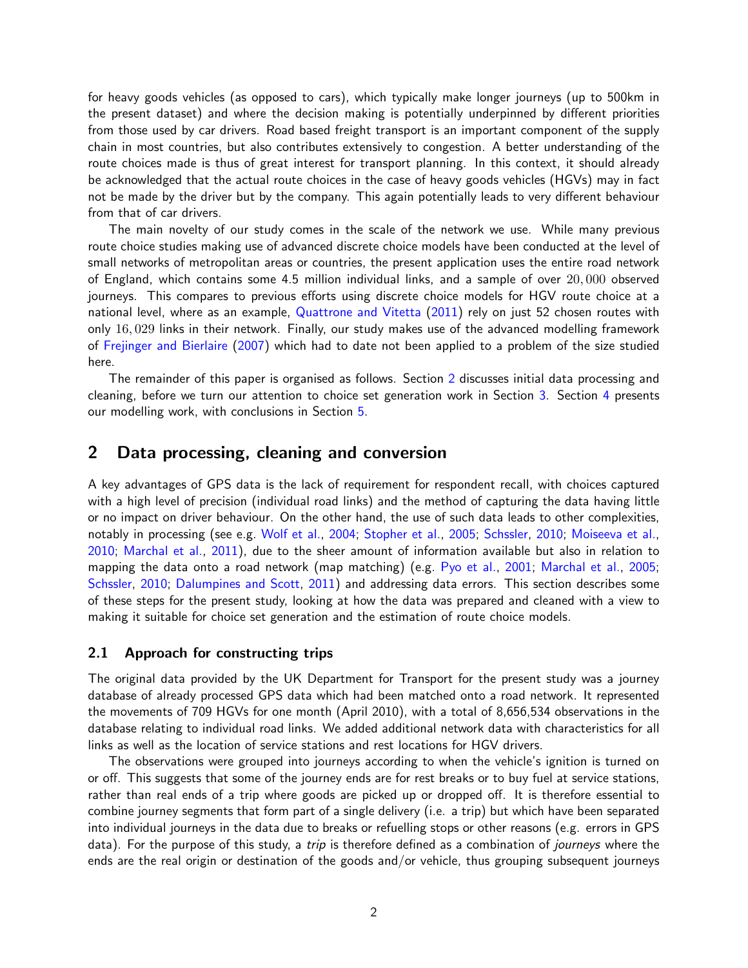for heavy goods vehicles (as opposed to cars), which typically make longer journeys (up to 500km in the present dataset) and where the decision making is potentially underpinned by different priorities from those used by car drivers. Road based freight transport is an important component of the supply chain in most countries, but also contributes extensively to congestion. A better understanding of the route choices made is thus of great interest for transport planning. In this context, it should already be acknowledged that the actual route choices in the case of heavy goods vehicles (HGVs) may in fact not be made by the driver but by the company. This again potentially leads to very different behaviour from that of car drivers.

The main novelty of our study comes in the scale of the network we use. While many previous route choice studies making use of advanced discrete choice models have been conducted at the level of small networks of metropolitan areas or countries, the present application uses the entire road network of England, which contains some 4.5 million individual links, and a sample of over 20, 000 observed journeys. This compares to previous efforts using discrete choice models for HGV route choice at a national level, where as an example, Quattrone and Vitetta (2011) rely on just 52 chosen routes with only 16, 029 links in their network. Finally, our study makes use of the advanced modelling framework of Frejinger and Bierlaire (2007) which had to date not been applied to a problem of the size studied here.

The remainder of this paper is organised as follows. Section 2 discusses initial data processing and cleaning, before we turn our attention to choice set generation work in Section 3. Section 4 presents our modelling work, with conclusions in Section 5.

# 2 Data processing, cleaning and conversion

A key advantages of GPS data is the lack of requirement for respondent recall, with choices captured with a high level of precision (individual road links) and the method of capturing the data having little or no impact on driver behaviour. On the other hand, the use of such data leads to other complexities, notably in processing (see e.g. Wolf et al., 2004; Stopher et al., 2005; Schssler, 2010; Moiseeva et al., 2010; Marchal et al., 2011), due to the sheer amount of information available but also in relation to mapping the data onto a road network (map matching) (e.g. Pyo et al., 2001; Marchal et al., 2005; Schssler, 2010; Dalumpines and Scott, 2011) and addressing data errors. This section describes some of these steps for the present study, looking at how the data was prepared and cleaned with a view to making it suitable for choice set generation and the estimation of route choice models.

### 2.1 Approach for constructing trips

The original data provided by the UK Department for Transport for the present study was a journey database of already processed GPS data which had been matched onto a road network. It represented the movements of 709 HGVs for one month (April 2010), with a total of 8,656,534 observations in the database relating to individual road links. We added additional network data with characteristics for all links as well as the location of service stations and rest locations for HGV drivers.

The observations were grouped into journeys according to when the vehicle's ignition is turned on or off. This suggests that some of the journey ends are for rest breaks or to buy fuel at service stations, rather than real ends of a trip where goods are picked up or dropped off. It is therefore essential to combine journey segments that form part of a single delivery (i.e. a trip) but which have been separated into individual journeys in the data due to breaks or refuelling stops or other reasons (e.g. errors in GPS data). For the purpose of this study, a *trip* is therefore defined as a combination of *journeys* where the ends are the real origin or destination of the goods and/or vehicle, thus grouping subsequent journeys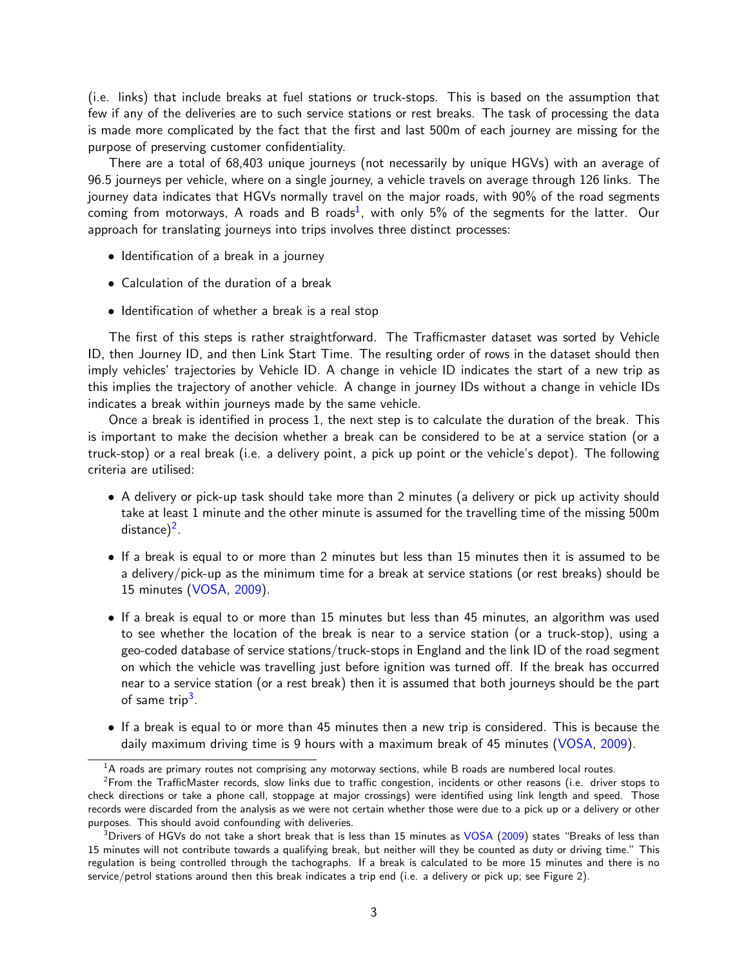(i.e. links) that include breaks at fuel stations or truck-stops. This is based on the assumption that few if any of the deliveries are to such service stations or rest breaks. The task of processing the data is made more complicated by the fact that the first and last 500m of each journey are missing for the purpose of preserving customer confidentiality.

There are a total of 68,403 unique journeys (not necessarily by unique HGVs) with an average of 96.5 journeys per vehicle, where on a single journey, a vehicle travels on average through 126 links. The journey data indicates that HGVs normally travel on the major roads, with 90% of the road segments coming from motorways, A roads and B roads<sup>1</sup>, with only 5% of the segments for the latter. Our approach for translating journeys into trips involves three distinct processes:

- Identification of a break in a journey
- Calculation of the duration of a break
- Identification of whether a break is a real stop

The first of this steps is rather straightforward. The Trafficmaster dataset was sorted by Vehicle ID, then Journey ID, and then Link Start Time. The resulting order of rows in the dataset should then imply vehicles' trajectories by Vehicle ID. A change in vehicle ID indicates the start of a new trip as this implies the trajectory of another vehicle. A change in journey IDs without a change in vehicle IDs indicates a break within journeys made by the same vehicle.

Once a break is identified in process 1, the next step is to calculate the duration of the break. This is important to make the decision whether a break can be considered to be at a service station (or a truck-stop) or a real break (i.e. a delivery point, a pick up point or the vehicle's depot). The following criteria are utilised:

- A delivery or pick-up task should take more than 2 minutes (a delivery or pick up activity should take at least 1 minute and the other minute is assumed for the travelling time of the missing 500m distance $)^2$ .
- If a break is equal to or more than 2 minutes but less than 15 minutes then it is assumed to be a delivery/pick-up as the minimum time for a break at service stations (or rest breaks) should be 15 minutes (VOSA, 2009).
- If a break is equal to or more than 15 minutes but less than 45 minutes, an algorithm was used to see whether the location of the break is near to a service station (or a truck-stop), using a geo-coded database of service stations/truck-stops in England and the link ID of the road segment on which the vehicle was travelling just before ignition was turned off. If the break has occurred near to a service station (or a rest break) then it is assumed that both journeys should be the part of same trip<sup>3</sup>.
- If a break is equal to or more than 45 minutes then a new trip is considered. This is because the daily maximum driving time is 9 hours with a maximum break of 45 minutes (VOSA, 2009).

 $1A$  roads are primary routes not comprising any motorway sections, while B roads are numbered local routes.

<sup>&</sup>lt;sup>2</sup>From the TrafficMaster records, slow links due to traffic congestion, incidents or other reasons (i.e. driver stops to check directions or take a phone call, stoppage at major crossings) were identified using link length and speed. Those records were discarded from the analysis as we were not certain whether those were due to a pick up or a delivery or other purposes. This should avoid confounding with deliveries.

 $3$ Drivers of HGVs do not take a short break that is less than 15 minutes as VOSA (2009) states "Breaks of less than 15 minutes will not contribute towards a qualifying break, but neither will they be counted as duty or driving time." This regulation is being controlled through the tachographs. If a break is calculated to be more 15 minutes and there is no service/petrol stations around then this break indicates a trip end (i.e. a delivery or pick up; see Figure 2).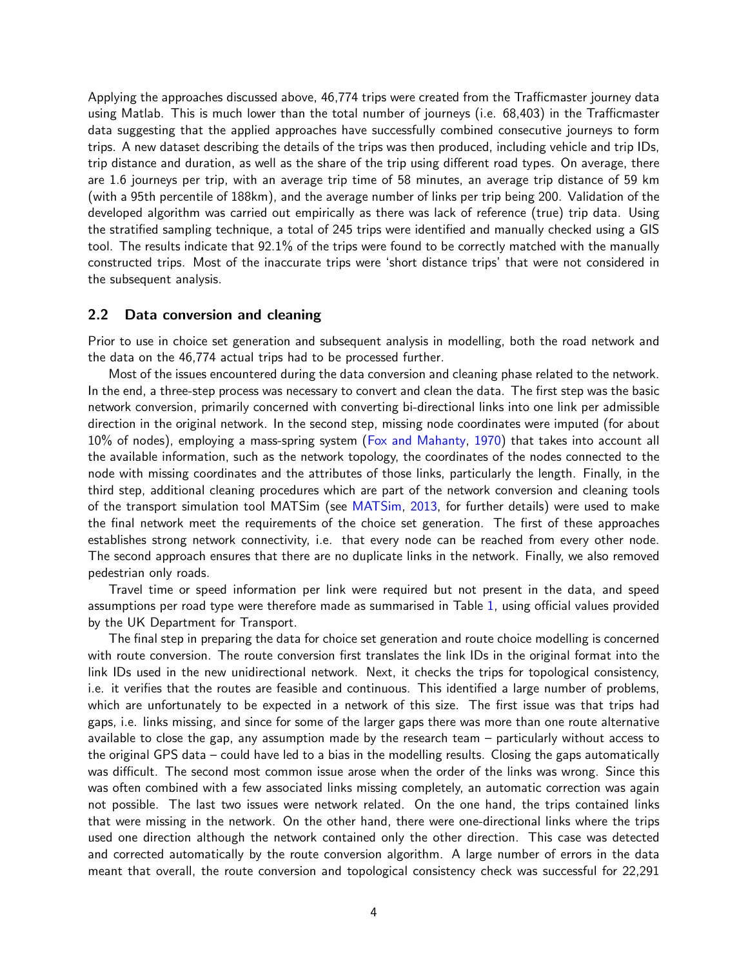Applying the approaches discussed above, 46,774 trips were created from the Trafficmaster journey data using Matlab. This is much lower than the total number of journeys (i.e. 68,403) in the Trafficmaster data suggesting that the applied approaches have successfully combined consecutive journeys to form trips. A new dataset describing the details of the trips was then produced, including vehicle and trip IDs, trip distance and duration, as well as the share of the trip using different road types. On average, there are 1.6 journeys per trip, with an average trip time of 58 minutes, an average trip distance of 59 km (with a 95th percentile of 188km), and the average number of links per trip being 200. Validation of the developed algorithm was carried out empirically as there was lack of reference (true) trip data. Using the stratified sampling technique, a total of 245 trips were identified and manually checked using a GIS tool. The results indicate that 92.1% of the trips were found to be correctly matched with the manually constructed trips. Most of the inaccurate trips were 'short distance trips' that were not considered in the subsequent analysis.

### 2.2 Data conversion and cleaning

Prior to use in choice set generation and subsequent analysis in modelling, both the road network and the data on the 46,774 actual trips had to be processed further.

Most of the issues encountered during the data conversion and cleaning phase related to the network. In the end, a three-step process was necessary to convert and clean the data. The first step was the basic network conversion, primarily concerned with converting bi-directional links into one link per admissible direction in the original network. In the second step, missing node coordinates were imputed (for about 10% of nodes), employing a mass-spring system (Fox and Mahanty, 1970) that takes into account all the available information, such as the network topology, the coordinates of the nodes connected to the node with missing coordinates and the attributes of those links, particularly the length. Finally, in the third step, additional cleaning procedures which are part of the network conversion and cleaning tools of the transport simulation tool MATSim (see MATSim, 2013, for further details) were used to make the final network meet the requirements of the choice set generation. The first of these approaches establishes strong network connectivity, i.e. that every node can be reached from every other node. The second approach ensures that there are no duplicate links in the network. Finally, we also removed pedestrian only roads.

Travel time or speed information per link were required but not present in the data, and speed assumptions per road type were therefore made as summarised in Table 1, using official values provided by the UK Department for Transport.

The final step in preparing the data for choice set generation and route choice modelling is concerned with route conversion. The route conversion first translates the link IDs in the original format into the link IDs used in the new unidirectional network. Next, it checks the trips for topological consistency, i.e. it verifies that the routes are feasible and continuous. This identified a large number of problems, which are unfortunately to be expected in a network of this size. The first issue was that trips had gaps, i.e. links missing, and since for some of the larger gaps there was more than one route alternative available to close the gap, any assumption made by the research team – particularly without access to the original GPS data – could have led to a bias in the modelling results. Closing the gaps automatically was difficult. The second most common issue arose when the order of the links was wrong. Since this was often combined with a few associated links missing completely, an automatic correction was again not possible. The last two issues were network related. On the one hand, the trips contained links that were missing in the network. On the other hand, there were one-directional links where the trips used one direction although the network contained only the other direction. This case was detected and corrected automatically by the route conversion algorithm. A large number of errors in the data meant that overall, the route conversion and topological consistency check was successful for 22,291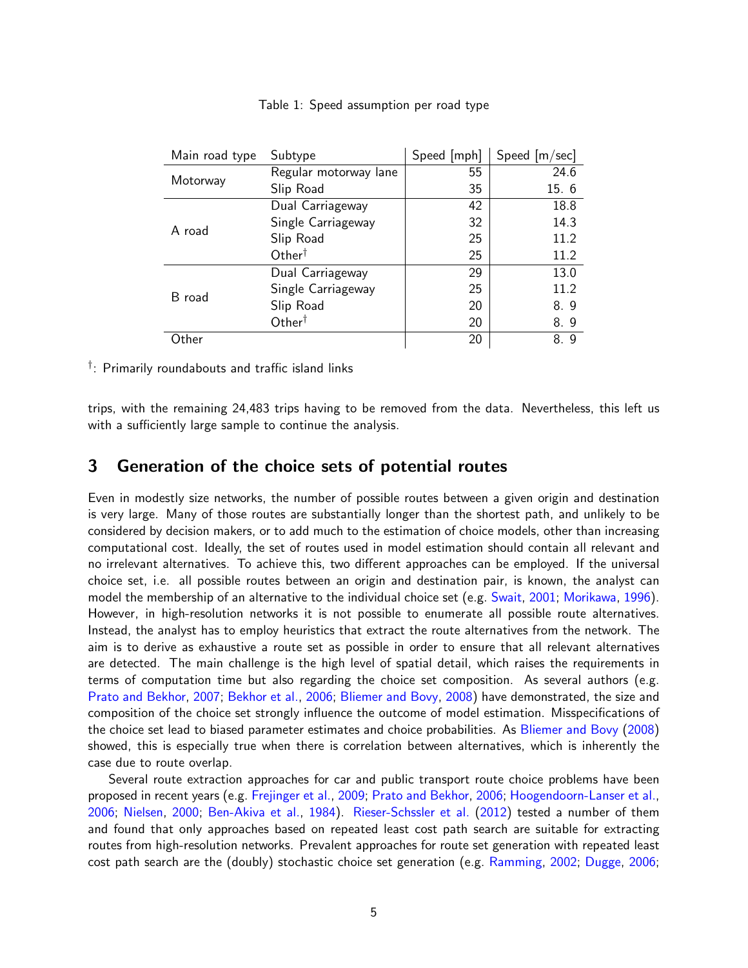| Main road type | Subtype               | Speed [mph] | Speed [m/sec] |
|----------------|-----------------------|-------------|---------------|
| Motorway       | Regular motorway lane | 55          | 24.6          |
|                | Slip Road             | 35          | 15.6          |
|                | Dual Carriageway      | 42          | 18.8          |
| A road         | Single Carriageway    | 32          | 14.3          |
|                | Slip Road             | 25          | 11.2          |
|                | $Other^{\dagger}$     | 25          | 11.2          |
|                | Dual Carriageway      | 29          | 13.0          |
| B road         | Single Carriageway    | 25          | 11.2          |
|                | Slip Road             | 20          | 8.9           |
|                | $Other^{\dagger}$     | 20          | 8.9           |
| Other          |                       | 20          | 8.9           |

#### Table 1: Speed assumption per road type

 $^\dagger$ : Primarily roundabouts and traffic island links

trips, with the remaining 24,483 trips having to be removed from the data. Nevertheless, this left us with a sufficiently large sample to continue the analysis.

# 3 Generation of the choice sets of potential routes

Even in modestly size networks, the number of possible routes between a given origin and destination is very large. Many of those routes are substantially longer than the shortest path, and unlikely to be considered by decision makers, or to add much to the estimation of choice models, other than increasing computational cost. Ideally, the set of routes used in model estimation should contain all relevant and no irrelevant alternatives. To achieve this, two different approaches can be employed. If the universal choice set, i.e. all possible routes between an origin and destination pair, is known, the analyst can model the membership of an alternative to the individual choice set (e.g. Swait, 2001; Morikawa, 1996). However, in high-resolution networks it is not possible to enumerate all possible route alternatives. Instead, the analyst has to employ heuristics that extract the route alternatives from the network. The aim is to derive as exhaustive a route set as possible in order to ensure that all relevant alternatives are detected. The main challenge is the high level of spatial detail, which raises the requirements in terms of computation time but also regarding the choice set composition. As several authors (e.g. Prato and Bekhor, 2007; Bekhor et al., 2006; Bliemer and Bovy, 2008) have demonstrated, the size and composition of the choice set strongly influence the outcome of model estimation. Misspecifications of the choice set lead to biased parameter estimates and choice probabilities. As Bliemer and Bovy (2008) showed, this is especially true when there is correlation between alternatives, which is inherently the case due to route overlap.

Several route extraction approaches for car and public transport route choice problems have been proposed in recent years (e.g. Frejinger et al., 2009; Prato and Bekhor, 2006; Hoogendoorn-Lanser et al., 2006; Nielsen, 2000; Ben-Akiva et al., 1984). Rieser-Schssler et al. (2012) tested a number of them and found that only approaches based on repeated least cost path search are suitable for extracting routes from high-resolution networks. Prevalent approaches for route set generation with repeated least cost path search are the (doubly) stochastic choice set generation (e.g. Ramming, 2002; Dugge, 2006;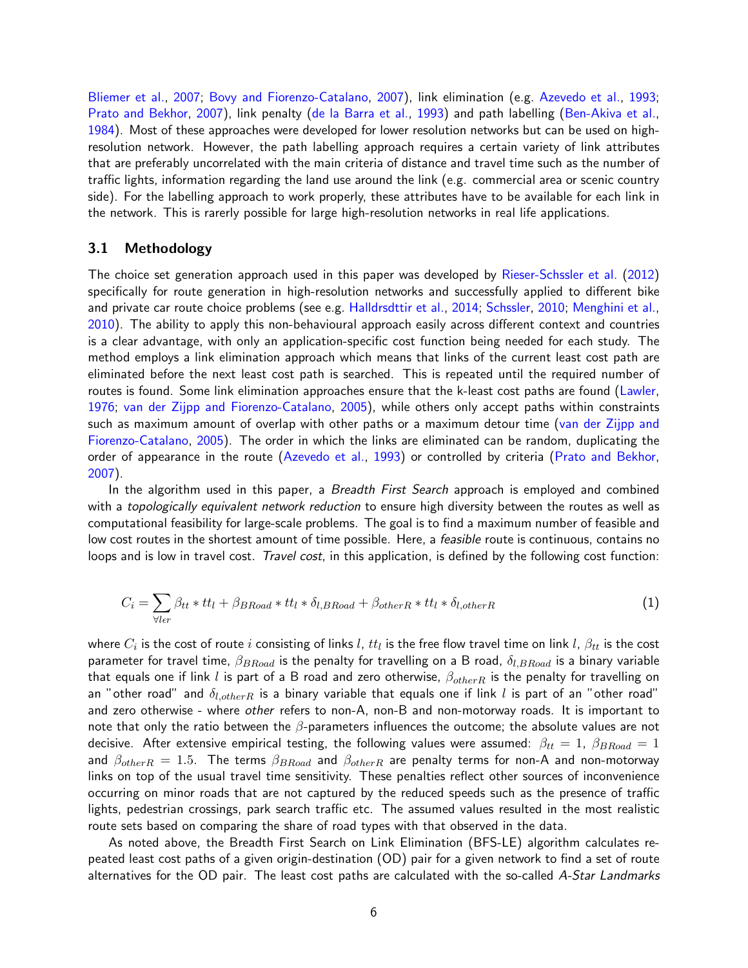Bliemer et al., 2007; Bovy and Fiorenzo-Catalano, 2007), link elimination (e.g. Azevedo et al., 1993; Prato and Bekhor, 2007), link penalty (de la Barra et al., 1993) and path labelling (Ben-Akiva et al., 1984). Most of these approaches were developed for lower resolution networks but can be used on highresolution network. However, the path labelling approach requires a certain variety of link attributes that are preferably uncorrelated with the main criteria of distance and travel time such as the number of traffic lights, information regarding the land use around the link (e.g. commercial area or scenic country side). For the labelling approach to work properly, these attributes have to be available for each link in the network. This is rarerly possible for large high-resolution networks in real life applications.

### 3.1 Methodology

The choice set generation approach used in this paper was developed by Rieser-Schssler et al. (2012) specifically for route generation in high-resolution networks and successfully applied to different bike and private car route choice problems (see e.g. Halldrsdttir et al., 2014; Schssler, 2010; Menghini et al., 2010). The ability to apply this non-behavioural approach easily across different context and countries is a clear advantage, with only an application-specific cost function being needed for each study. The method employs a link elimination approach which means that links of the current least cost path are eliminated before the next least cost path is searched. This is repeated until the required number of routes is found. Some link elimination approaches ensure that the k-least cost paths are found (Lawler, 1976; van der Zijpp and Fiorenzo-Catalano, 2005), while others only accept paths within constraints such as maximum amount of overlap with other paths or a maximum detour time (van der Zijpp and Fiorenzo-Catalano, 2005). The order in which the links are eliminated can be random, duplicating the order of appearance in the route (Azevedo et al., 1993) or controlled by criteria (Prato and Bekhor, 2007).

In the algorithm used in this paper, a *Breadth First Search* approach is employed and combined with a *topologically equivalent network reduction* to ensure high diversity between the routes as well as computational feasibility for large-scale problems. The goal is to find a maximum number of feasible and low cost routes in the shortest amount of time possible. Here, a *feasible* route is continuous, contains no loops and is low in travel cost. Travel cost, in this application, is defined by the following cost function:

$$
C_i = \sum_{\forall l \in r} \beta_{tt} * tt_l + \beta_{BRoad} * tt_l * \delta_{l,BRoad} + \beta_{otherR} * tt_l * \delta_{l,otherR}
$$
\n(1)

where  $C_i$  is the cost of route  $i$  consisting of links  $l$ ,  $tt_l$  is the free flow travel time on link  $l$ ,  $\beta_{tt}$  is the cost parameter for travel time,  $\beta_{BRoad}$  is the penalty for travelling on a B road,  $\delta_{l,BRoad}$  is a binary variable that equals one if link l is part of a B road and zero otherwise,  $\beta_{otherR}$  is the penalty for travelling on an "other road" and  $\delta_{l,otherR}$  is a binary variable that equals one if link l is part of an "other road" and zero otherwise - where other refers to non-A, non-B and non-motorway roads. It is important to note that only the ratio between the  $\beta$ -parameters influences the outcome; the absolute values are not decisive. After extensive empirical testing, the following values were assumed:  $\beta_{tt} = 1$ ,  $\beta_{BRoad} = 1$ and  $\beta_{otherR} = 1.5$ . The terms  $\beta_{BRoad}$  and  $\beta_{otherR}$  are penalty terms for non-A and non-motorway links on top of the usual travel time sensitivity. These penalties reflect other sources of inconvenience occurring on minor roads that are not captured by the reduced speeds such as the presence of traffic lights, pedestrian crossings, park search traffic etc. The assumed values resulted in the most realistic route sets based on comparing the share of road types with that observed in the data.

As noted above, the Breadth First Search on Link Elimination (BFS-LE) algorithm calculates repeated least cost paths of a given origin-destination (OD) pair for a given network to find a set of route alternatives for the OD pair. The least cost paths are calculated with the so-called A-Star Landmarks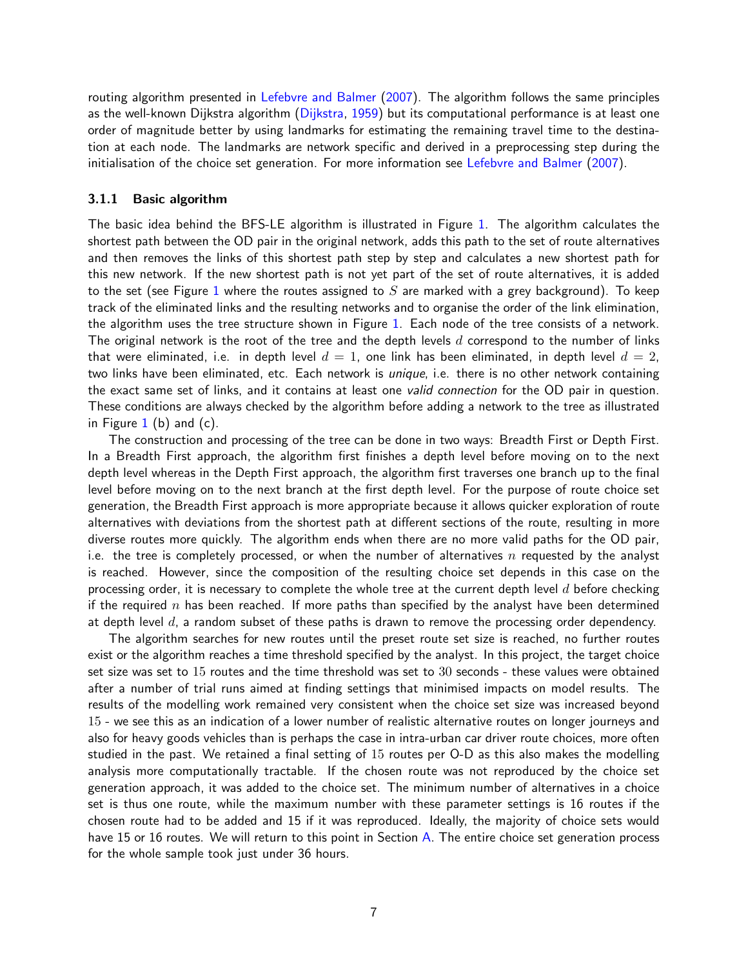routing algorithm presented in Lefebvre and Balmer (2007). The algorithm follows the same principles as the well-known Dijkstra algorithm (Dijkstra, 1959) but its computational performance is at least one order of magnitude better by using landmarks for estimating the remaining travel time to the destination at each node. The landmarks are network specific and derived in a preprocessing step during the initialisation of the choice set generation. For more information see Lefebvre and Balmer (2007).

#### 3.1.1 Basic algorithm

The basic idea behind the BFS-LE algorithm is illustrated in Figure 1. The algorithm calculates the shortest path between the OD pair in the original network, adds this path to the set of route alternatives and then removes the links of this shortest path step by step and calculates a new shortest path for this new network. If the new shortest path is not yet part of the set of route alternatives, it is added to the set (see Figure 1 where the routes assigned to  $S$  are marked with a grey background). To keep track of the eliminated links and the resulting networks and to organise the order of the link elimination, the algorithm uses the tree structure shown in Figure 1. Each node of the tree consists of a network. The original network is the root of the tree and the depth levels  $d$  correspond to the number of links that were eliminated, i.e. in depth level  $d = 1$ , one link has been eliminated, in depth level  $d = 2$ , two links have been eliminated, etc. Each network is *unique*, i.e. there is no other network containing the exact same set of links, and it contains at least one valid connection for the OD pair in question. These conditions are always checked by the algorithm before adding a network to the tree as illustrated in Figure  $1$  (b) and (c).

The construction and processing of the tree can be done in two ways: Breadth First or Depth First. In a Breadth First approach, the algorithm first finishes a depth level before moving on to the next depth level whereas in the Depth First approach, the algorithm first traverses one branch up to the final level before moving on to the next branch at the first depth level. For the purpose of route choice set generation, the Breadth First approach is more appropriate because it allows quicker exploration of route alternatives with deviations from the shortest path at different sections of the route, resulting in more diverse routes more quickly. The algorithm ends when there are no more valid paths for the OD pair, i.e. the tree is completely processed, or when the number of alternatives n requested by the analyst is reached. However, since the composition of the resulting choice set depends in this case on the processing order, it is necessary to complete the whole tree at the current depth level  $d$  before checking if the required n has been reached. If more paths than specified by the analyst have been determined at depth level  $d$ , a random subset of these paths is drawn to remove the processing order dependency.

The algorithm searches for new routes until the preset route set size is reached, no further routes exist or the algorithm reaches a time threshold specified by the analyst. In this project, the target choice set size was set to 15 routes and the time threshold was set to 30 seconds - these values were obtained after a number of trial runs aimed at finding settings that minimised impacts on model results. The results of the modelling work remained very consistent when the choice set size was increased beyond 15 - we see this as an indication of a lower number of realistic alternative routes on longer journeys and also for heavy goods vehicles than is perhaps the case in intra-urban car driver route choices, more often studied in the past. We retained a final setting of 15 routes per O-D as this also makes the modelling analysis more computationally tractable. If the chosen route was not reproduced by the choice set generation approach, it was added to the choice set. The minimum number of alternatives in a choice set is thus one route, while the maximum number with these parameter settings is 16 routes if the chosen route had to be added and 15 if it was reproduced. Ideally, the majority of choice sets would have 15 or 16 routes. We will return to this point in Section A. The entire choice set generation process for the whole sample took just under 36 hours.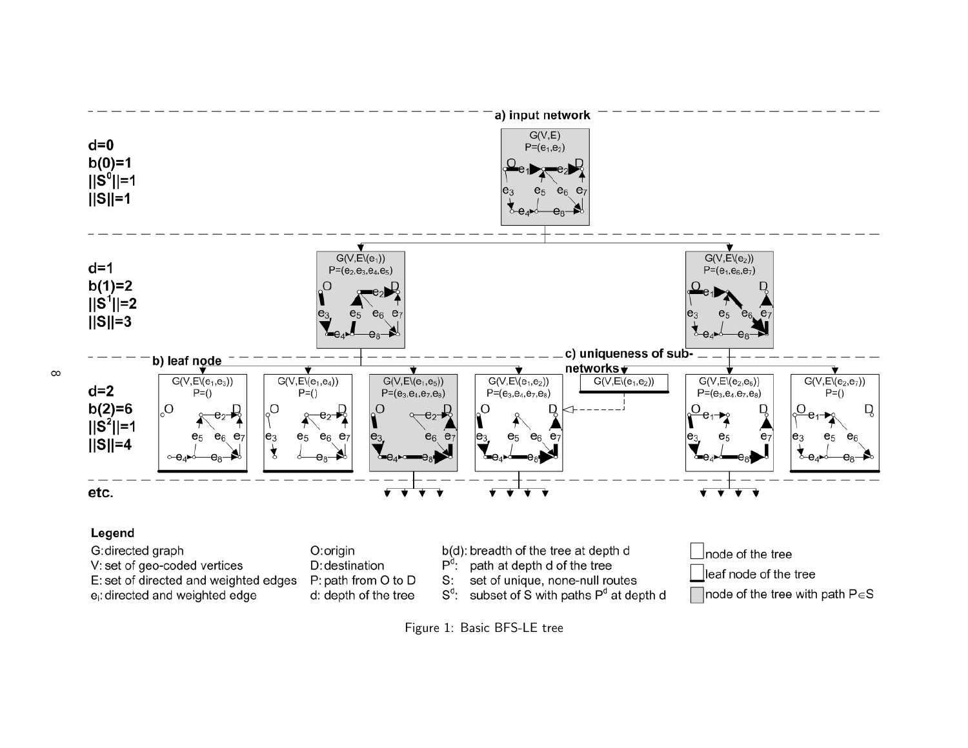

e<sub>i</sub>: directed and weighted edge

- S:
- $S^d$ : d: depth of the tree
- subset of S with paths P<sup>d</sup> at depth d

node of the tree with path  $P \in S$ 

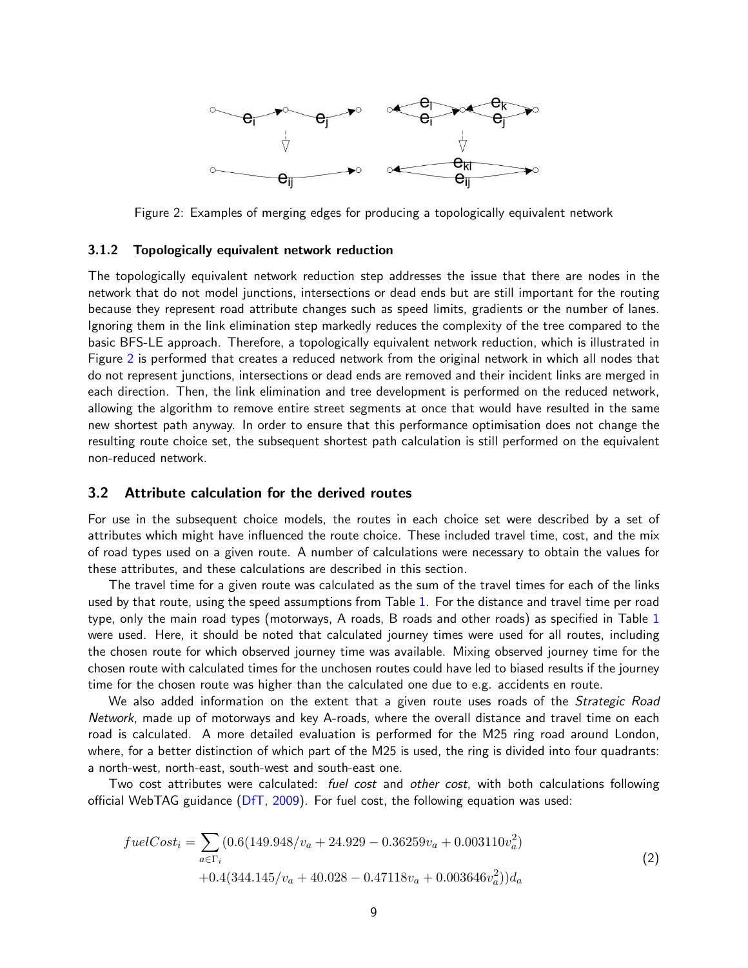

Figure 2: Examples of merging edges for producing a topologically equivalent network

#### 3.1.2 Topologically equivalent network reduction

The topologically equivalent network reduction step addresses the issue that there are nodes in the network that do not model junctions, intersections or dead ends but are still important for the routing because they represent road attribute changes such as speed limits, gradients or the number of lanes. Ignoring them in the link elimination step markedly reduces the complexity of the tree compared to the basic BFS-LE approach. Therefore, a topologically equivalent network reduction, which is illustrated in Figure 2 is performed that creates a reduced network from the original network in which all nodes that do not represent junctions, intersections or dead ends are removed and their incident links are merged in each direction. Then, the link elimination and tree development is performed on the reduced network, allowing the algorithm to remove entire street segments at once that would have resulted in the same new shortest path anyway. In order to ensure that this performance optimisation does not change the resulting route choice set, the subsequent shortest path calculation is still performed on the equivalent non-reduced network.

#### 3.2 Attribute calculation for the derived routes

For use in the subsequent choice models, the routes in each choice set were described by a set of attributes which might have influenced the route choice. These included travel time, cost, and the mix of road types used on a given route. A number of calculations were necessary to obtain the values for these attributes, and these calculations are described in this section.

The travel time for a given route was calculated as the sum of the travel times for each of the links used by that route, using the speed assumptions from Table 1. For the distance and travel time per road type, only the main road types (motorways, A roads, B roads and other roads) as specified in Table 1 were used. Here, it should be noted that calculated journey times were used for all routes, including the chosen route for which observed journey time was available. Mixing observed journey time for the chosen route with calculated times for the unchosen routes could have led to biased results if the journey time for the chosen route was higher than the calculated one due to e.g. accidents en route.

We also added information on the extent that a given route uses roads of the Strategic Road Network, made up of motorways and key A-roads, where the overall distance and travel time on each road is calculated. A more detailed evaluation is performed for the M25 ring road around London, where, for a better distinction of which part of the M25 is used, the ring is divided into four quadrants: a north-west, north-east, south-west and south-east one.

Two cost attributes were calculated: *fuel cost* and other cost, with both calculations following official WebTAG guidance (DfT, 2009). For fuel cost, the following equation was used:

$$
fuelCost_{i} = \sum_{a \in \Gamma_{i}} (0.6(149.948/v_{a} + 24.929 - 0.36259v_{a} + 0.003110v_{a}^{2})
$$
  
+0.4(344.145/v\_{a} + 40.028 - 0.47118v\_{a} + 0.003646v\_{a}^{2}))d\_{a}(2)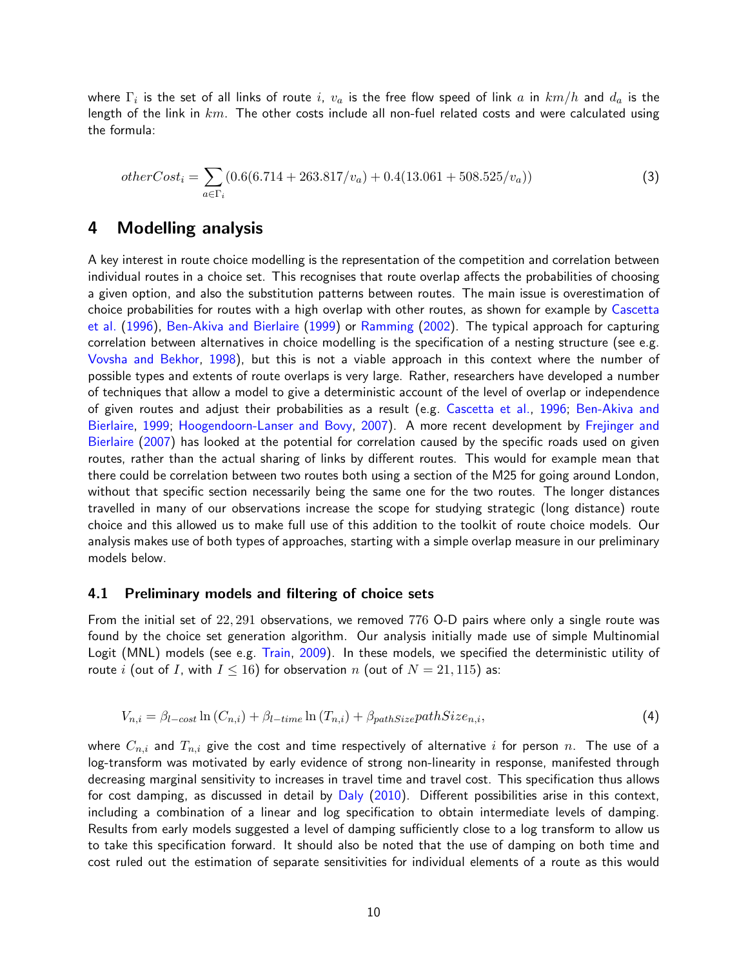where  $\Gamma_i$  is the set of all links of route  $i,~v_a$  is the free flow speed of link  $a$  in  $km/h$  and  $d_a$  is the length of the link in  $km$ . The other costs include all non-fuel related costs and were calculated using the formula:

$$
otherCost_i = \sum_{a \in \Gamma_i} (0.6(6.714 + 263.817/v_a) + 0.4(13.061 + 508.525/v_a))
$$
\n(3)

## 4 Modelling analysis

A key interest in route choice modelling is the representation of the competition and correlation between individual routes in a choice set. This recognises that route overlap affects the probabilities of choosing a given option, and also the substitution patterns between routes. The main issue is overestimation of choice probabilities for routes with a high overlap with other routes, as shown for example by Cascetta et al. (1996), Ben-Akiva and Bierlaire (1999) or Ramming (2002). The typical approach for capturing correlation between alternatives in choice modelling is the specification of a nesting structure (see e.g. Vovsha and Bekhor, 1998), but this is not a viable approach in this context where the number of possible types and extents of route overlaps is very large. Rather, researchers have developed a number of techniques that allow a model to give a deterministic account of the level of overlap or independence of given routes and adjust their probabilities as a result (e.g. Cascetta et al., 1996; Ben-Akiva and Bierlaire, 1999; Hoogendoorn-Lanser and Bovy, 2007). A more recent development by Frejinger and Bierlaire (2007) has looked at the potential for correlation caused by the specific roads used on given routes, rather than the actual sharing of links by different routes. This would for example mean that there could be correlation between two routes both using a section of the M25 for going around London, without that specific section necessarily being the same one for the two routes. The longer distances travelled in many of our observations increase the scope for studying strategic (long distance) route choice and this allowed us to make full use of this addition to the toolkit of route choice models. Our analysis makes use of both types of approaches, starting with a simple overlap measure in our preliminary models below.

### 4.1 Preliminary models and filtering of choice sets

From the initial set of 22, 291 observations, we removed 776 O-D pairs where only a single route was found by the choice set generation algorithm. Our analysis initially made use of simple Multinomial Logit (MNL) models (see e.g. Train, 2009). In these models, we specified the deterministic utility of route i (out of I, with  $I \le 16$ ) for observation n (out of  $N = 21, 115$ ) as:

$$
V_{n,i} = \beta_{l-cost} \ln(C_{n,i}) + \beta_{l-time} \ln(T_{n,i}) + \beta_{pathSize} pathSize_{n,i},\tag{4}
$$

where  $C_{n,i}$  and  $T_{n,i}$  give the cost and time respectively of alternative i for person n. The use of a log-transform was motivated by early evidence of strong non-linearity in response, manifested through decreasing marginal sensitivity to increases in travel time and travel cost. This specification thus allows for cost damping, as discussed in detail by Daly (2010). Different possibilities arise in this context, including a combination of a linear and log specification to obtain intermediate levels of damping. Results from early models suggested a level of damping sufficiently close to a log transform to allow us to take this specification forward. It should also be noted that the use of damping on both time and cost ruled out the estimation of separate sensitivities for individual elements of a route as this would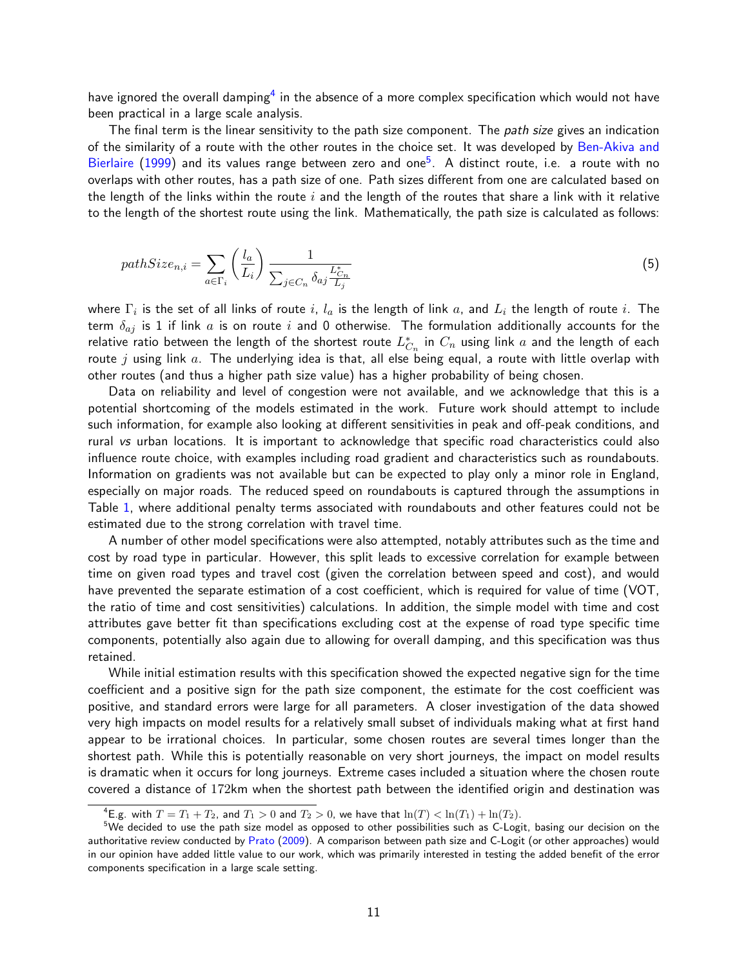have ignored the overall damping $^4$  in the absence of a more complex specification which would not have been practical in a large scale analysis.

The final term is the linear sensitivity to the path size component. The *path size* gives an indication of the similarity of a route with the other routes in the choice set. It was developed by Ben-Akiva and Bierlaire  $(1999)$  and its values range between zero and one $^5$ . A distinct route, i.e. a route with no overlaps with other routes, has a path size of one. Path sizes different from one are calculated based on the length of the links within the route i and the length of the routes that share a link with it relative to the length of the shortest route using the link. Mathematically, the path size is calculated as follows:

$$
pathSize_{n,i} = \sum_{a \in \Gamma_i} \left(\frac{l_a}{L_i}\right) \frac{1}{\sum_{j \in C_n} \delta_{aj} \frac{L_{C_n}^*}{L_j}}
$$
\n
$$
\tag{5}
$$

where  $\Gamma_i$  is the set of all links of route  $i,~l_a$  is the length of link  $a,$  and  $L_i$  the length of route  $i.$  The term  $\delta_{aj}$  is 1 if link a is on route i and 0 otherwise. The formulation additionally accounts for the relative ratio between the length of the shortest route  $L_{C_n}^*$  in  $C_n$  using link  $a$  and the length of each route j using link  $a$ . The underlying idea is that, all else being equal, a route with little overlap with other routes (and thus a higher path size value) has a higher probability of being chosen.

Data on reliability and level of congestion were not available, and we acknowledge that this is a potential shortcoming of the models estimated in the work. Future work should attempt to include such information, for example also looking at different sensitivities in peak and off-peak conditions, and rural vs urban locations. It is important to acknowledge that specific road characteristics could also influence route choice, with examples including road gradient and characteristics such as roundabouts. Information on gradients was not available but can be expected to play only a minor role in England, especially on major roads. The reduced speed on roundabouts is captured through the assumptions in Table 1, where additional penalty terms associated with roundabouts and other features could not be estimated due to the strong correlation with travel time.

A number of other model specifications were also attempted, notably attributes such as the time and cost by road type in particular. However, this split leads to excessive correlation for example between time on given road types and travel cost (given the correlation between speed and cost), and would have prevented the separate estimation of a cost coefficient, which is required for value of time (VOT, the ratio of time and cost sensitivities) calculations. In addition, the simple model with time and cost attributes gave better fit than specifications excluding cost at the expense of road type specific time components, potentially also again due to allowing for overall damping, and this specification was thus retained.

While initial estimation results with this specification showed the expected negative sign for the time coefficient and a positive sign for the path size component, the estimate for the cost coefficient was positive, and standard errors were large for all parameters. A closer investigation of the data showed very high impacts on model results for a relatively small subset of individuals making what at first hand appear to be irrational choices. In particular, some chosen routes are several times longer than the shortest path. While this is potentially reasonable on very short journeys, the impact on model results is dramatic when it occurs for long journeys. Extreme cases included a situation where the chosen route covered a distance of 172km when the shortest path between the identified origin and destination was

<sup>&</sup>lt;sup>4</sup>E.g. with  $T = T_1 + T_2$ , and  $T_1 > 0$  and  $T_2 > 0$ , we have that  $\ln(T) < \ln(T_1) + \ln(T_2)$ .

<sup>&</sup>lt;sup>5</sup>We decided to use the path size model as opposed to other possibilities such as C-Logit, basing our decision on the authoritative review conducted by Prato (2009). A comparison between path size and C-Logit (or other approaches) would in our opinion have added little value to our work, which was primarily interested in testing the added benefit of the error components specification in a large scale setting.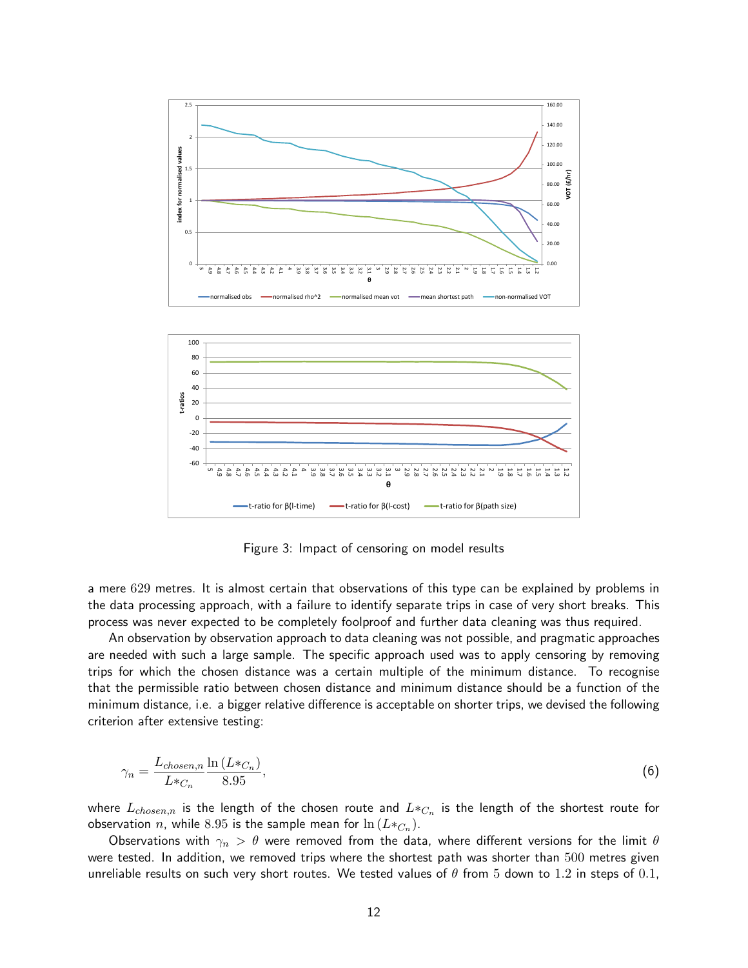

Figure 3: Impact of censoring on model results

a mere 629 metres. It is almost certain that observations of this type can be explained by problems in the data processing approach, with a failure to identify separate trips in case of very short breaks. This process was never expected to be completely foolproof and further data cleaning was thus required.

An observation by observation approach to data cleaning was not possible, and pragmatic approaches are needed with such a large sample. The specific approach used was to apply censoring by removing trips for which the chosen distance was a certain multiple of the minimum distance. To recognise that the permissible ratio between chosen distance and minimum distance should be a function of the minimum distance, i.e. a bigger relative difference is acceptable on shorter trips, we devised the following criterion after extensive testing:

$$
\gamma_n = \frac{L_{chosen,n}}{L \ast_{C_n}} \frac{\ln\left(L \ast_{C_n}\right)}{8.95},\tag{6}
$$

where  $L_{chosen,n}$  is the length of the chosen route and  $L\ast _{C_{n}}$  is the length of the shortest route for observation  $n$ , while  $8.95$  is the sample mean for  $\ln\left(L\ast_{C_n}\right)$ .

Observations with  $\gamma_n > \theta$  were removed from the data, where different versions for the limit  $\theta$ were tested. In addition, we removed trips where the shortest path was shorter than 500 metres given unreliable results on such very short routes. We tested values of  $\theta$  from 5 down to 1.2 in steps of 0.1,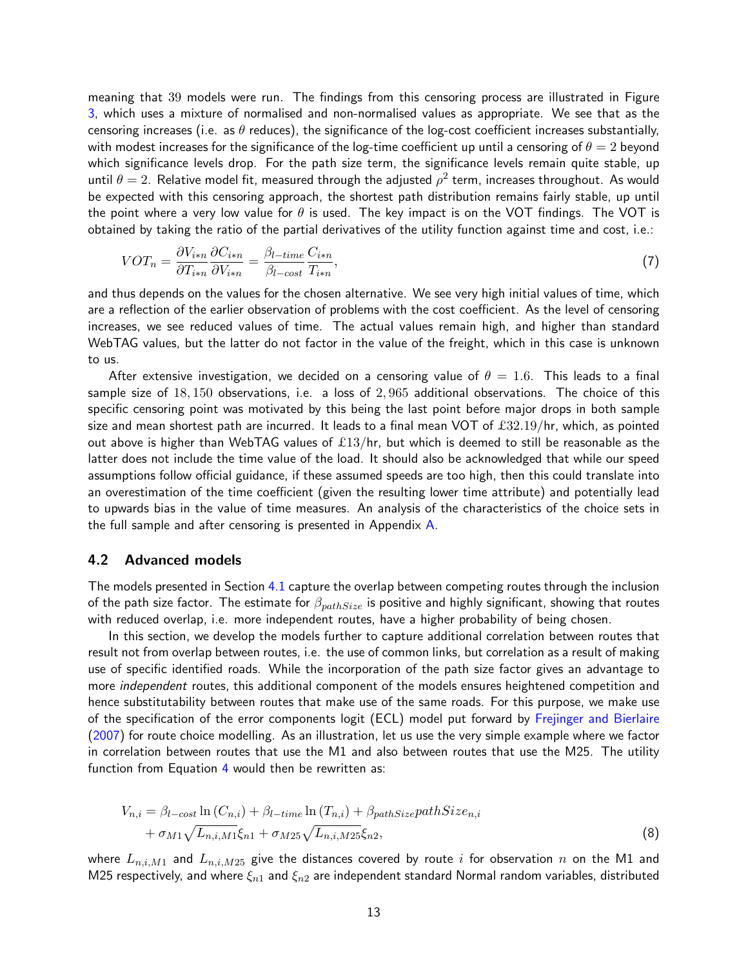meaning that 39 models were run. The findings from this censoring process are illustrated in Figure 3, which uses a mixture of normalised and non-normalised values as appropriate. We see that as the censoring increases (i.e. as  $\theta$  reduces), the significance of the log-cost coefficient increases substantially, with modest increases for the significance of the log-time coefficient up until a censoring of  $\theta = 2$  beyond which significance levels drop. For the path size term, the significance levels remain quite stable, up until  $\theta = 2$ . Relative model fit, measured through the adjusted  $\rho^2$  term, increases throughout. As would be expected with this censoring approach, the shortest path distribution remains fairly stable, up until the point where a very low value for  $\theta$  is used. The key impact is on the VOT findings. The VOT is obtained by taking the ratio of the partial derivatives of the utility function against time and cost, i.e.:

$$
VOT_n = \frac{\partial V_{i*n}}{\partial T_{i*n}} \frac{\partial C_{i*n}}{\partial V_{i*n}} = \frac{\beta_{l-time}}{\beta_{l-cost}} \frac{C_{i*n}}{T_{i*n}},\tag{7}
$$

and thus depends on the values for the chosen alternative. We see very high initial values of time, which are a reflection of the earlier observation of problems with the cost coefficient. As the level of censoring increases, we see reduced values of time. The actual values remain high, and higher than standard WebTAG values, but the latter do not factor in the value of the freight, which in this case is unknown to us.

After extensive investigation, we decided on a censoring value of  $\theta = 1.6$ . This leads to a final sample size of 18, 150 observations, i.e. a loss of 2, 965 additional observations. The choice of this specific censoring point was motivated by this being the last point before major drops in both sample size and mean shortest path are incurred. It leads to a final mean VOT of £32.19/hr, which, as pointed out above is higher than WebTAG values of  $£13/hr$ , but which is deemed to still be reasonable as the latter does not include the time value of the load. It should also be acknowledged that while our speed assumptions follow official guidance, if these assumed speeds are too high, then this could translate into an overestimation of the time coefficient (given the resulting lower time attribute) and potentially lead to upwards bias in the value of time measures. An analysis of the characteristics of the choice sets in the full sample and after censoring is presented in Appendix A.

#### 4.2 Advanced models

The models presented in Section 4.1 capture the overlap between competing routes through the inclusion of the path size factor. The estimate for  $\beta_{pathSize}$  is positive and highly significant, showing that routes with reduced overlap, i.e. more independent routes, have a higher probability of being chosen.

In this section, we develop the models further to capture additional correlation between routes that result not from overlap between routes, i.e. the use of common links, but correlation as a result of making use of specific identified roads. While the incorporation of the path size factor gives an advantage to more independent routes, this additional component of the models ensures heightened competition and hence substitutability between routes that make use of the same roads. For this purpose, we make use of the specification of the error components logit (ECL) model put forward by Frejinger and Bierlaire (2007) for route choice modelling. As an illustration, let us use the very simple example where we factor in correlation between routes that use the M1 and also between routes that use the M25. The utility function from Equation 4 would then be rewritten as:

$$
V_{n,i} = \beta_{l-cost} \ln(C_{n,i}) + \beta_{l-time} \ln(T_{n,i}) + \beta_{pathSize} pathSize_{n,i}
$$
  
+  $\sigma_{M1} \sqrt{L_{n,i,M1}} \xi_{n1} + \sigma_{M25} \sqrt{L_{n,i,M25}} \xi_{n2},$  (8)

where  $L_{n,i,M1}$  and  $L_{n,i,M25}$  give the distances covered by route i for observation n on the M1 and M25 respectively, and where  $\xi_{n1}$  and  $\xi_{n2}$  are independent standard Normal random variables, distributed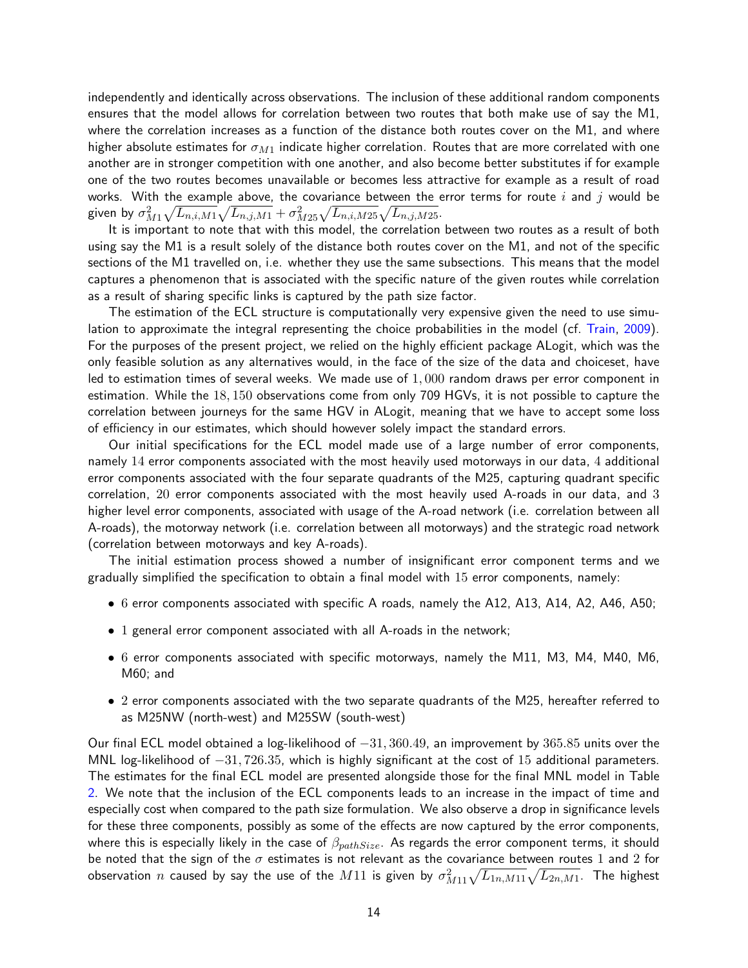independently and identically across observations. The inclusion of these additional random components ensures that the model allows for correlation between two routes that both make use of say the M1, where the correlation increases as a function of the distance both routes cover on the M1, and where higher absolute estimates for  $\sigma_{M1}$  indicate higher correlation. Routes that are more correlated with one another are in stronger competition with one another, and also become better substitutes if for example one of the two routes becomes unavailable or becomes less attractive for example as a result of road works. With the example above, the covariance between the error terms for route i and j would be given by  $\sigma_{M1}^2 \sqrt{L_{n,i,M1}} \sqrt{L_{n,j,M1}} + \sigma_{M25}^2 \sqrt{L_{n,i,M25}} \sqrt{L_{n,j,M25}}.$ 

It is important to note that with this model, the correlation between two routes as a result of both using say the M1 is a result solely of the distance both routes cover on the M1, and not of the specific sections of the M1 travelled on, i.e. whether they use the same subsections. This means that the model captures a phenomenon that is associated with the specific nature of the given routes while correlation as a result of sharing specific links is captured by the path size factor.

The estimation of the ECL structure is computationally very expensive given the need to use simulation to approximate the integral representing the choice probabilities in the model (cf. Train, 2009). For the purposes of the present project, we relied on the highly efficient package ALogit, which was the only feasible solution as any alternatives would, in the face of the size of the data and choiceset, have led to estimation times of several weeks. We made use of  $1,000$  random draws per error component in estimation. While the 18, 150 observations come from only 709 HGVs, it is not possible to capture the correlation between journeys for the same HGV in ALogit, meaning that we have to accept some loss of efficiency in our estimates, which should however solely impact the standard errors.

Our initial specifications for the ECL model made use of a large number of error components, namely 14 error components associated with the most heavily used motorways in our data, 4 additional error components associated with the four separate quadrants of the M25, capturing quadrant specific correlation, 20 error components associated with the most heavily used A-roads in our data, and 3 higher level error components, associated with usage of the A-road network (i.e. correlation between all A-roads), the motorway network (i.e. correlation between all motorways) and the strategic road network (correlation between motorways and key A-roads).

The initial estimation process showed a number of insignificant error component terms and we gradually simplified the specification to obtain a final model with 15 error components, namely:

- 6 error components associated with specific A roads, namely the A12, A13, A14, A2, A46, A50;
- 1 general error component associated with all A-roads in the network;
- 6 error components associated with specific motorways, namely the M11, M3, M4, M40, M6, M60; and
- 2 error components associated with the two separate quadrants of the M25, hereafter referred to as M25NW (north-west) and M25SW (south-west)

Our final ECL model obtained a log-likelihood of −31, 360.49, an improvement by 365.85 units over the MNL log-likelihood of  $-31,726.35$ , which is highly significant at the cost of 15 additional parameters. The estimates for the final ECL model are presented alongside those for the final MNL model in Table 2. We note that the inclusion of the ECL components leads to an increase in the impact of time and especially cost when compared to the path size formulation. We also observe a drop in significance levels for these three components, possibly as some of the effects are now captured by the error components, where this is especially likely in the case of  $\beta_{pathSize}$ . As regards the error component terms, it should be noted that the sign of the  $\sigma$  estimates is not relevant as the covariance between routes 1 and 2 for observation  $n$  caused by say the use of the  $M11$  is given by  $\sigma_{M11}^2\sqrt{L_{1n,M11}}\sqrt{L_{2n,M1}}.$  The highest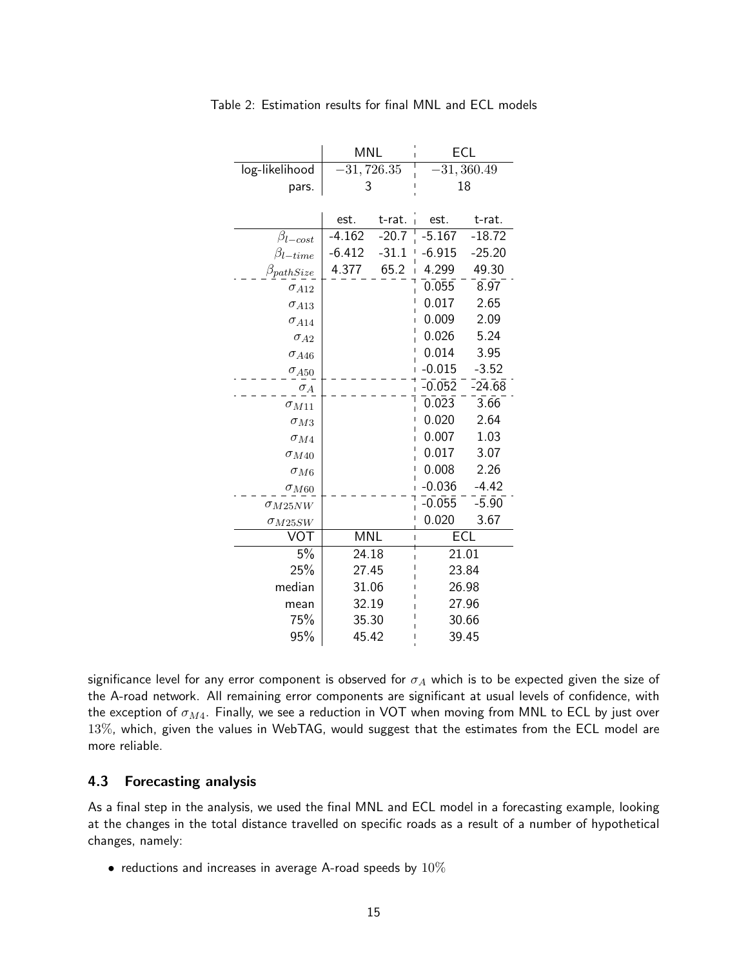|                    | <b>MNL</b> |           | ECL                        |            |  |  |
|--------------------|------------|-----------|----------------------------|------------|--|--|
| log-likelihood     |            | 31,726.35 | 31,360.49                  |            |  |  |
| pars.              | 3          |           | 18                         |            |  |  |
|                    |            |           |                            |            |  |  |
|                    | est.       | t-rat.    | est.                       | t-rat.     |  |  |
| $\beta_{l-cost}$   | $-4.162$   | $-20.7$   | $-5.167$                   | $-18.72$   |  |  |
| $\beta_{l-time}$   | $-6.412$   | $-31.1$   | $-6.915$                   | $-25.20$   |  |  |
| $\beta_{pathsize}$ | 4.377      | 65.2      | 4.299                      | 49.30      |  |  |
| $\sigma_{A12}$     |            |           | 0.055                      | 8.97       |  |  |
| $\sigma_{A13}$     |            |           | 0.017                      | 2.65       |  |  |
| $\sigma_{A14}$     |            |           | 0.009                      | 2.09       |  |  |
| $\sigma_{A2}$      |            |           | 0.026                      | 5.24       |  |  |
| $\sigma$ A46       |            |           | 0.014                      | 3.95       |  |  |
| $\sigma_{A50}$     |            |           | $-0.015$                   | $-3.52$    |  |  |
| $\sigma_A$         |            |           | $-0.052$<br>$\overline{1}$ | $-24.68$   |  |  |
| $\sigma_{M11}$     |            |           | 0.023                      | 3.66       |  |  |
| $\sigma_{M3}$      |            |           | 0.020                      | 2.64       |  |  |
| $\sigma_{M4}$      |            |           | 0.007                      | 1.03       |  |  |
| $\sigma_{M40}$     |            |           | 0.017                      | 3.07       |  |  |
| $\sigma_{M6}$      |            |           | 0.008                      | 2.26       |  |  |
| $\sigma_{M60}$     |            |           | $-0.036$                   | $-4.42$    |  |  |
| $\sigma_{M25NW}$   |            |           | $-0.055$                   | $-5.90$    |  |  |
| $\sigma_{M25SW}$   |            |           | 0.020                      | 3.67       |  |  |
| VOT                | <b>MNL</b> |           | $\overline{1}$             | <b>ECL</b> |  |  |
| 5%                 | 24.18      |           |                            | 21.01      |  |  |
| 25%                | 27.45      |           | 23.84                      |            |  |  |
| median             | 31.06      |           | 26.98                      |            |  |  |
| mean               | 32.19      |           | 27.96                      |            |  |  |
| 75%                | 35.30      |           | 30.66                      |            |  |  |
| 95%                | 45.42      |           |                            | 39.45      |  |  |

Table 2: Estimation results for final MNL and ECL models

significance level for any error component is observed for  $\sigma_A$  which is to be expected given the size of the A-road network. All remaining error components are significant at usual levels of confidence, with the exception of  $\sigma_{M4}$ . Finally, we see a reduction in VOT when moving from MNL to ECL by just over 13%, which, given the values in WebTAG, would suggest that the estimates from the ECL model are more reliable.

### 4.3 Forecasting analysis

As a final step in the analysis, we used the final MNL and ECL model in a forecasting example, looking at the changes in the total distance travelled on specific roads as a result of a number of hypothetical changes, namely:

• reductions and increases in average A-road speeds by  $10\%$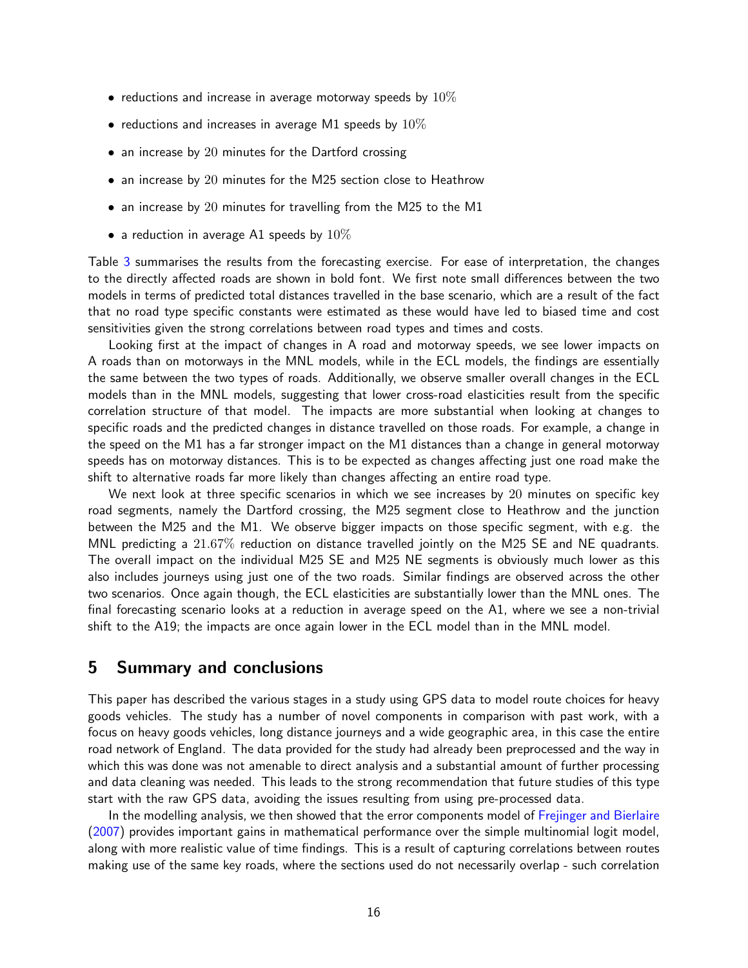- reductions and increase in average motorway speeds by  $10\%$
- reductions and increases in average M1 speeds by  $10\%$
- an increase by 20 minutes for the Dartford crossing
- an increase by 20 minutes for the M25 section close to Heathrow
- an increase by 20 minutes for travelling from the M25 to the M1
- a reduction in average A1 speeds by  $10\%$

Table 3 summarises the results from the forecasting exercise. For ease of interpretation, the changes to the directly affected roads are shown in bold font. We first note small differences between the two models in terms of predicted total distances travelled in the base scenario, which are a result of the fact that no road type specific constants were estimated as these would have led to biased time and cost sensitivities given the strong correlations between road types and times and costs.

Looking first at the impact of changes in A road and motorway speeds, we see lower impacts on A roads than on motorways in the MNL models, while in the ECL models, the findings are essentially the same between the two types of roads. Additionally, we observe smaller overall changes in the ECL models than in the MNL models, suggesting that lower cross-road elasticities result from the specific correlation structure of that model. The impacts are more substantial when looking at changes to specific roads and the predicted changes in distance travelled on those roads. For example, a change in the speed on the M1 has a far stronger impact on the M1 distances than a change in general motorway speeds has on motorway distances. This is to be expected as changes affecting just one road make the shift to alternative roads far more likely than changes affecting an entire road type.

We next look at three specific scenarios in which we see increases by 20 minutes on specific key road segments, namely the Dartford crossing, the M25 segment close to Heathrow and the junction between the M25 and the M1. We observe bigger impacts on those specific segment, with e.g. the MNL predicting a 21.67% reduction on distance travelled jointly on the M25 SE and NE quadrants. The overall impact on the individual M25 SE and M25 NE segments is obviously much lower as this also includes journeys using just one of the two roads. Similar findings are observed across the other two scenarios. Once again though, the ECL elasticities are substantially lower than the MNL ones. The final forecasting scenario looks at a reduction in average speed on the A1, where we see a non-trivial shift to the A19; the impacts are once again lower in the ECL model than in the MNL model.

# 5 Summary and conclusions

This paper has described the various stages in a study using GPS data to model route choices for heavy goods vehicles. The study has a number of novel components in comparison with past work, with a focus on heavy goods vehicles, long distance journeys and a wide geographic area, in this case the entire road network of England. The data provided for the study had already been preprocessed and the way in which this was done was not amenable to direct analysis and a substantial amount of further processing and data cleaning was needed. This leads to the strong recommendation that future studies of this type start with the raw GPS data, avoiding the issues resulting from using pre-processed data.

In the modelling analysis, we then showed that the error components model of Frejinger and Bierlaire (2007) provides important gains in mathematical performance over the simple multinomial logit model, along with more realistic value of time findings. This is a result of capturing correlations between routes making use of the same key roads, where the sections used do not necessarily overlap - such correlation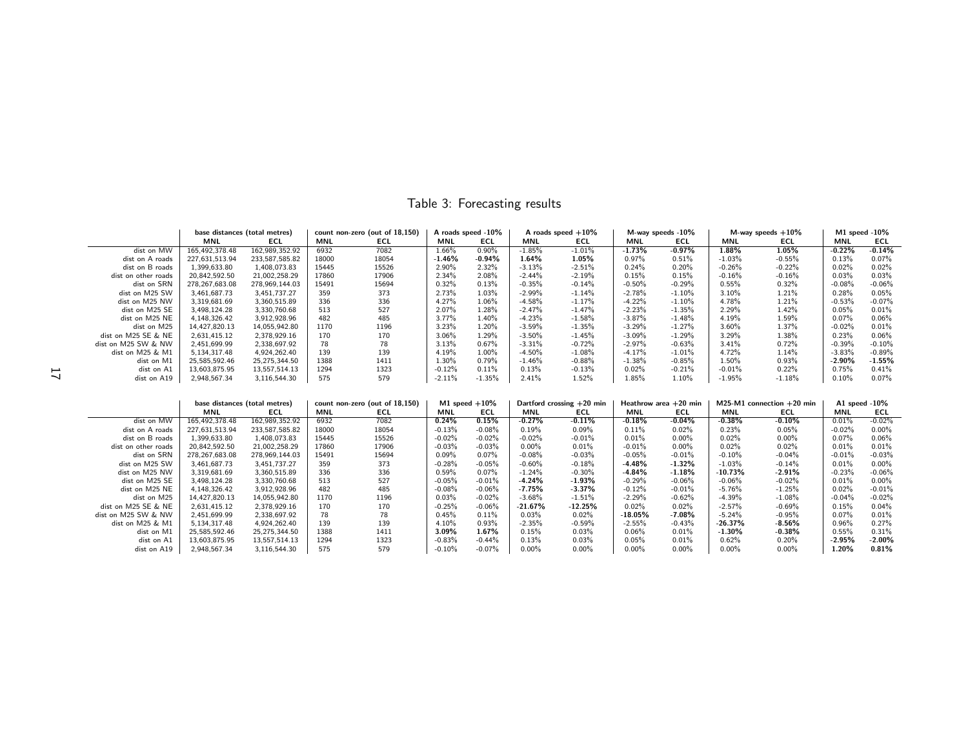|                     |                | base distances (total metres) | count non-zero (out of 18,150) |       | A roads speed -10%<br>A roads speed $+10\%$ |          |           | M-way speeds -10% |           | M-way speeds $+10\%$ |            | M1 speed $-10\%$ |           |          |
|---------------------|----------------|-------------------------------|--------------------------------|-------|---------------------------------------------|----------|-----------|-------------------|-----------|----------------------|------------|------------------|-----------|----------|
|                     | MNL            | <b>ECL</b>                    | MNL                            | ECL   | MNL                                         | ECL      | MNL       | <b>ECL</b>        | MNL       | ECL                  | <b>MNL</b> | ECL              | MNL       | ECL      |
| dist on MW          | 165,492,378.48 | 162,989,352.92                | 6932                           | 7082  | 1.66%                                       | $0.90\%$ | $-1.85%$  | $-1.01%$          | $-1.73%$  | $-0.97%$             | 1.88%      | 1.05%            | $-0.22%$  | $-0.14%$ |
| dist on A roads     | 227.631.513.94 | 233.587.585.82                | 18000                          | 18054 | $-1.46%$                                    | $-0.94%$ | 1.64%     | 1.05%             | 0.97%     | 0.51%                | $-1.03%$   | $-0.55%$         | 0.13%     | 0.07%    |
| dist on B roads     | 1.399.633.80   | 1.408.073.83                  | 15445                          | 15526 | 2.90%                                       | 2.32%    | $-3.13%$  | $-2.51%$          | 0.24%     | 0.20%                | $-0.26%$   | $-0.22%$         | 0.02%     | 0.02%    |
| dist on other roads | 20.842.592.50  | 21.002.258.29                 | 17860                          | 17906 | 2.34%                                       | 2.08%    | $-2.44%$  | $-2.19%$          | 0.15%     | 0.15%                | $-0.16%$   | $-0.16%$         | 0.03%     | 0.03%    |
| dist on SRN         | 278.267.683.08 | 278,969,144.03                | 15491                          | 15694 | 0.32%                                       | 0.13%    | $-0.35%$  | $-0.14%$          | $-0.50%$  | $-0.29%$             | 0.55%      | 0.32%            | $-0.08%$  | $-0.06%$ |
| dist on M25 SW      | 3,461,687.73   | 3,451,737.27                  | 359                            | 373   | 2.73%                                       | 1.03%    | $-2.99%$  | $-1.14%$          | $-2.78%$  | $-1.10%$             | 3.10%      | 1.21%            | 0.28%     | 0.05%    |
| dist on M25 NW      | 3,319,681.69   | 3,360,515.89                  | 336                            | 336   | 4.27%                                       | 1.06%    | $-4.58%$  | $-1.17%$          | $-4.22%$  | $-1.10%$             | 4.78%      | 1.21%            | $-0.53%$  | $-0.07%$ |
| dist on M25 SE      | 3,498,124.28   | 3,330,760.68                  | 513                            | 527   | 2.07%                                       | 1.28%    | $-2.47%$  | $-1.47%$          | $-2.23%$  | $-1.35%$             | 2.29%      | 1.42%            | 0.05%     | 0.01%    |
| dist on M25 NE      | 4,148,326.42   | 3,912,928.96                  | 482                            | 485   | 3.77%                                       | 1.40%    | $-4.23%$  | $-1.58%$          | $-3.87\%$ | $-1.48%$             | 4.19%      | 1.59%            | 0.07%     | 0.06%    |
| dist on M25         | 14.427.820.13  | 14,055,942.80                 | 1170                           | 1196  | 3.23%                                       | 1.20%    | $-3.59%$  | $-1.35%$          | $-3.29%$  | $-1.27%$             | 3.60%      | 1.37%            | $-0.02%$  | 0.01%    |
| dist on M25 SE & NE | 2,631,415.12   | 2,378,929.16                  | 170                            | 170   | 3.06%                                       | 1.29%    | $-3.50\%$ | $-1.45%$          | $-3.09\%$ | $-1.29%$             | 3.29%      | 1.38%            | 0.23%     | 0.06%    |
| dist on M25 SW & NW | 2,451,699.99   | 2,338,697.92                  | 78                             | 78    | 3.13%                                       | 0.67%    | $-3.31%$  | $-0.72%$          | $-2.97%$  | $-0.63%$             | 3.41%      | 0.72%            | $-0.39%$  | $-0.10%$ |
| dist on M25 & M1    | 5,134,317.48   | 4,924,262.40                  | 139                            | 139   | 4.19%                                       | 1.00%    | $-4.50%$  | $-1.08%$          | $-4.17%$  | $-1.01%$             | 4.72%      | 1.14%            | $-3.83%$  | $-0.89%$ |
| dist on M1          | 25,585,592.46  | 25,275,344.50                 | 1388                           | 1411  | 1.30%                                       | 0.79%    | $-1.46%$  | $-0.88%$          | $-1.38%$  | $-0.85%$             | 1.50%      | 0.93%            | $-2.90\%$ | $-1.55%$ |
| dist on A1          | 13,603,875.95  | 13,557,514.13                 | 1294                           | 1323  | $-0.12%$                                    | 0.11%    | 0.13%     | $-0.13%$          | 0.02%     | $-0.21%$             | $-0.01%$   | 0.22%            | 0.75%     | 0.41%    |
| dist on A19         | 2,948,567.34   | 3,116,544.30                  | 575                            | 579   | $-2.11%$                                    | $-1.35%$ | 2.41%     | 1.52%             | 1.85%     | 1.10%                | $-1.95%$   | $-1.18%$         | 0.10%     | 0.07%    |

Table 3: Forecasting results

|                     | base distances (total metres) |                | count non-zero (out of 18,150)<br>M1 speed $+10\%$ |            |            | Dartford crossing +20 min |           | Heathrow area $+20$ min |            | M25-M1 connection $+20$ min |            | A1 speed $-10\%$ |            |           |
|---------------------|-------------------------------|----------------|----------------------------------------------------|------------|------------|---------------------------|-----------|-------------------------|------------|-----------------------------|------------|------------------|------------|-----------|
|                     | <b>MNL</b>                    | <b>ECL</b>     | <b>MNL</b>                                         | <b>ECL</b> | <b>MNL</b> | ECL                       | MNL       | <b>ECL</b>              | <b>MNL</b> | ECL                         | <b>MNL</b> | ECL              | <b>MNL</b> | ECL       |
| dist on MW          | 165.492.378.48                | 162,989,352.92 | 6932                                               | 7082       | 0.24%      | 0.15%                     | $-0.27%$  | $-0.11%$                | $-0.18\%$  | $-0.04%$                    | $-0.38%$   | $-0.10\%$        | 0.01%      | $-0.02%$  |
| dist on A roads     | 227,631,513.94                | 233,587,585.82 | 18000                                              | 18054      | $-0.13%$   | $-0.08%$                  | 0.19%     | 0.09%                   | 0.11%      | 0.02%                       | 0.23%      | 0.05%            | $-0.02%$   | $0.00\%$  |
| dist on B roads     | 1,399,633.80                  | 1,408,073.83   | 15445                                              | 15526      | $-0.02%$   | $-0.02%$                  | $-0.02%$  | $-0.01%$                | 0.01%      | $0.00\%$                    | 0.02%      | $0.00\%$         | 0.07%      | 0.06%     |
| dist on other roads | 20.842.592.50                 | 21,002,258.29  | 17860                                              | 17906      | $-0.03%$   | $-0.03%$                  | $0.00\%$  | 0.01%                   | $-0.01%$   | $0.00\%$                    | 0.02%      | 0.02%            | 0.01%      | 0.01%     |
| dist on SRN         | 278, 267, 683.08              | 278,969,144.03 | 15491                                              | 15694      | 0.09%      | 0.07%                     | $-0.08%$  | $-0.03%$                | $-0.05%$   | $-0.01%$                    | $-0.10%$   | $-0.04%$         | $-0.01%$   | $-0.03%$  |
| dist on M25 SW      | 3,461,687.73                  | 3,451,737.27   | 359                                                | 373        | $-0.28%$   | $-0.05%$                  | $-0.60%$  | $-0.18%$                | $-4.48%$   | $-1.32%$                    | $-1.03%$   | $-0.14%$         | 0.01%      | $0.00\%$  |
| dist on M25 NW      | 3,319,681.69                  | 3,360,515.89   | 336                                                | 336        | 0.59%      | 0.07%                     | $-1.24%$  | $-0.30%$                | $-4.84%$   | $-1.18%$                    | $-10.73%$  | $-2.91\%$        | $-0.23%$   | $-0.06%$  |
| dist on M25 SE      | 3.498.124.28                  | 3,330,760.68   | 513                                                | 527        | $-0.05%$   | $-0.01%$                  | $-4.24%$  | $-1.93%$                | $-0.29%$   | $-0.06%$                    | $-0.06%$   | $-0.02%$         | 0.01%      | $0.00\%$  |
| dist on M25 NE      | 4.148.326.42                  | 3,912,928.96   | 482                                                | 485        | $-0.08%$   | $-0.06%$                  | $-7.75%$  | $-3.37%$                | $-0.12%$   | $-0.01%$                    | $-5.76%$   | $-1.25%$         | 0.02%      | $-0.01%$  |
| dist on M25         | 14,427,820.13                 | 14,055,942.80  | 1170                                               | 1196       | 0.03%      | $-0.02%$                  | $-3.68%$  | $-1.51%$                | $-2.29%$   | $-0.62%$                    | $-4.39%$   | $-1.08%$         | $-0.04%$   | $-0.02%$  |
| dist on M25 SE & NE | 2,631,415.12                  | 2,378,929.16   | 170                                                | 170        | $-0.25%$   | $-0.06%$                  | $-21.67%$ | $-12.25%$               | 0.02%      | 0.02%                       | $-2.57%$   | $-0.69%$         | 0.15%      | 0.04%     |
| dist on M25 SW & NW | 2,451,699.99                  | 2,338,697.92   | 78                                                 | 78         | 0.45%      | 0.11%                     | 0.03%     | 0.02%                   | $-18.05%$  | $-7.08%$                    | $-5.24%$   | $-0.95%$         | 0.07%      | 0.01%     |
| dist on M25 & M1    | 5.134.317.48                  | 4,924,262.40   | 139                                                | 139        | 4.10%      | 0.93%                     | $-2.35%$  | $-0.59%$                | $-2.55%$   | $-0.43%$                    | $-26.37%$  | $-8.56\%$        | 0.96%      | 0.27%     |
| dist on M1          | 25.585.592.46                 | 25.275.344.50  | 1388                                               | 1411       | 3.09%      | 1.67%                     | 0.15%     | 0.03%                   | 0.06%      | 0.01%                       | $-1.30\%$  | $-0.38\%$        | 0.55%      | 0.31%     |
| dist on A1          | 13.603.875.95                 | 13,557,514.13  | 1294                                               | 1323       | $-0.83%$   | $-0.44%$                  | 0.13%     | 0.03%                   | 0.05%      | 0.01%                       | 0.62%      | 0.20%            | $-2.95%$   | $-2.00\%$ |
| dist on A19         | 2,948,567.34                  | 3,116,544.30   | 575                                                | 579        | $-0.10%$   | $-0.07%$                  | $0.00\%$  | $0.00\%$                | $0.00\%$   | $0.00\%$                    | $0.00\%$   | $0.00\%$         | 1.20%      | 0.81%     |

 $\overline{a}$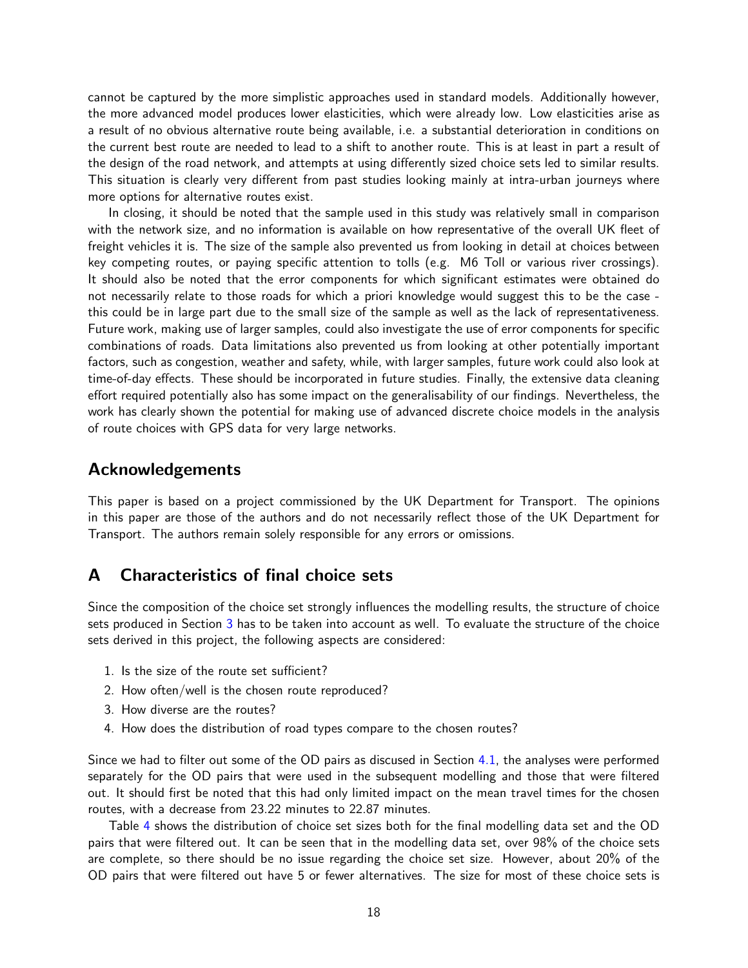cannot be captured by the more simplistic approaches used in standard models. Additionally however, the more advanced model produces lower elasticities, which were already low. Low elasticities arise as a result of no obvious alternative route being available, i.e. a substantial deterioration in conditions on the current best route are needed to lead to a shift to another route. This is at least in part a result of the design of the road network, and attempts at using differently sized choice sets led to similar results. This situation is clearly very different from past studies looking mainly at intra-urban journeys where more options for alternative routes exist.

In closing, it should be noted that the sample used in this study was relatively small in comparison with the network size, and no information is available on how representative of the overall UK fleet of freight vehicles it is. The size of the sample also prevented us from looking in detail at choices between key competing routes, or paying specific attention to tolls (e.g. M6 Toll or various river crossings). It should also be noted that the error components for which significant estimates were obtained do not necessarily relate to those roads for which a priori knowledge would suggest this to be the case this could be in large part due to the small size of the sample as well as the lack of representativeness. Future work, making use of larger samples, could also investigate the use of error components for specific combinations of roads. Data limitations also prevented us from looking at other potentially important factors, such as congestion, weather and safety, while, with larger samples, future work could also look at time-of-day effects. These should be incorporated in future studies. Finally, the extensive data cleaning effort required potentially also has some impact on the generalisability of our findings. Nevertheless, the work has clearly shown the potential for making use of advanced discrete choice models in the analysis of route choices with GPS data for very large networks.

## Acknowledgements

This paper is based on a project commissioned by the UK Department for Transport. The opinions in this paper are those of the authors and do not necessarily reflect those of the UK Department for Transport. The authors remain solely responsible for any errors or omissions.

# A Characteristics of final choice sets

Since the composition of the choice set strongly influences the modelling results, the structure of choice sets produced in Section 3 has to be taken into account as well. To evaluate the structure of the choice sets derived in this project, the following aspects are considered:

- 1. Is the size of the route set sufficient?
- 2. How often/well is the chosen route reproduced?
- 3. How diverse are the routes?
- 4. How does the distribution of road types compare to the chosen routes?

Since we had to filter out some of the OD pairs as discused in Section 4.1, the analyses were performed separately for the OD pairs that were used in the subsequent modelling and those that were filtered out. It should first be noted that this had only limited impact on the mean travel times for the chosen routes, with a decrease from 23.22 minutes to 22.87 minutes.

Table 4 shows the distribution of choice set sizes both for the final modelling data set and the OD pairs that were filtered out. It can be seen that in the modelling data set, over 98% of the choice sets are complete, so there should be no issue regarding the choice set size. However, about 20% of the OD pairs that were filtered out have 5 or fewer alternatives. The size for most of these choice sets is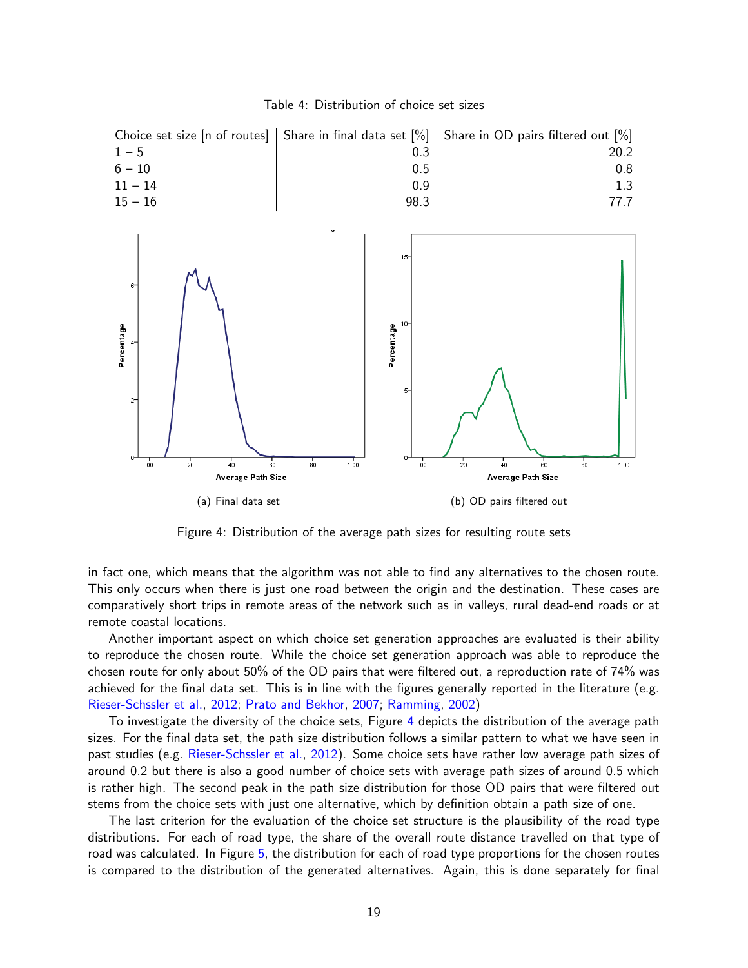| Table 4: Distribution of choice set sizes |  |  |
|-------------------------------------------|--|--|
|                                           |  |  |

|           |      | Choice set size [n of routes]   Share in final data set $[%]$   Share in OD pairs filtered out $[%]$ |
|-----------|------|------------------------------------------------------------------------------------------------------|
| $1 - 5$   |      |                                                                                                      |
| $6 - 10$  | 0.5  | 0.8                                                                                                  |
| $11 - 14$ | 0.9  | 1.3                                                                                                  |
| $15 - 16$ | 98.3 |                                                                                                      |



Figure 4: Distribution of the average path sizes for resulting route sets

in fact one, which means that the algorithm was not able to find any alternatives to the chosen route. This only occurs when there is just one road between the origin and the destination. These cases are comparatively short trips in remote areas of the network such as in valleys, rural dead-end roads or at remote coastal locations.

Another important aspect on which choice set generation approaches are evaluated is their ability to reproduce the chosen route. While the choice set generation approach was able to reproduce the chosen route for only about 50% of the OD pairs that were filtered out, a reproduction rate of 74% was achieved for the final data set. This is in line with the figures generally reported in the literature (e.g. Rieser-Schssler et al., 2012; Prato and Bekhor, 2007; Ramming, 2002)

To investigate the diversity of the choice sets, Figure 4 depicts the distribution of the average path sizes. For the final data set, the path size distribution follows a similar pattern to what we have seen in past studies (e.g. Rieser-Schssler et al., 2012). Some choice sets have rather low average path sizes of around 0.2 but there is also a good number of choice sets with average path sizes of around 0.5 which is rather high. The second peak in the path size distribution for those OD pairs that were filtered out stems from the choice sets with just one alternative, which by definition obtain a path size of one.

The last criterion for the evaluation of the choice set structure is the plausibility of the road type distributions. For each of road type, the share of the overall route distance travelled on that type of road was calculated. In Figure 5, the distribution for each of road type proportions for the chosen routes is compared to the distribution of the generated alternatives. Again, this is done separately for final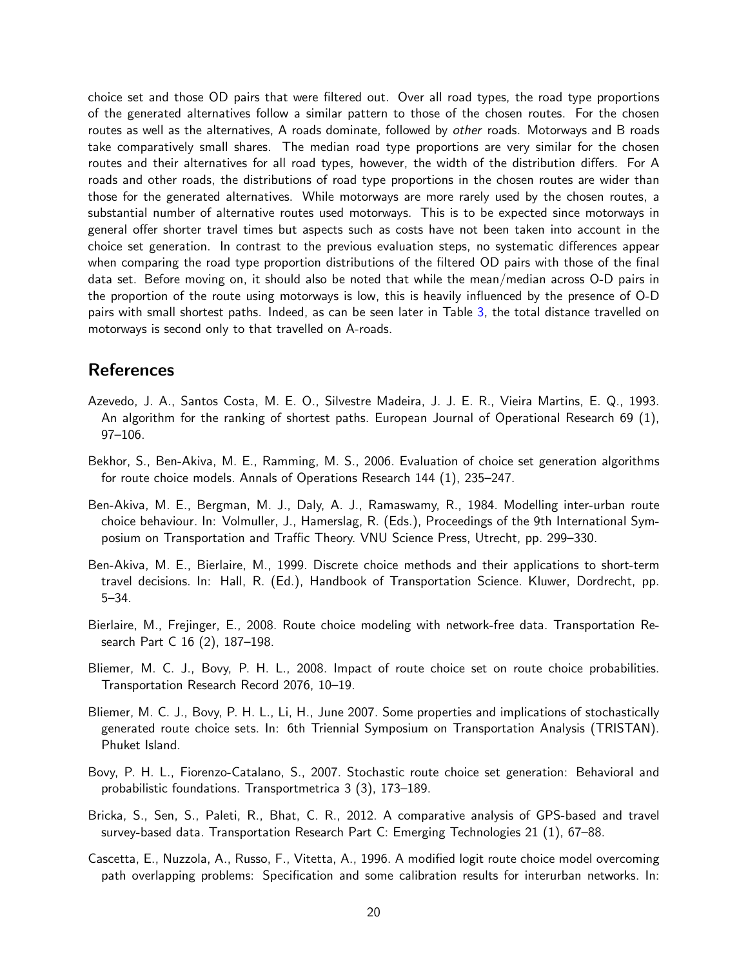choice set and those OD pairs that were filtered out. Over all road types, the road type proportions of the generated alternatives follow a similar pattern to those of the chosen routes. For the chosen routes as well as the alternatives, A roads dominate, followed by other roads. Motorways and B roads take comparatively small shares. The median road type proportions are very similar for the chosen routes and their alternatives for all road types, however, the width of the distribution differs. For A roads and other roads, the distributions of road type proportions in the chosen routes are wider than those for the generated alternatives. While motorways are more rarely used by the chosen routes, a substantial number of alternative routes used motorways. This is to be expected since motorways in general offer shorter travel times but aspects such as costs have not been taken into account in the choice set generation. In contrast to the previous evaluation steps, no systematic differences appear when comparing the road type proportion distributions of the filtered OD pairs with those of the final data set. Before moving on, it should also be noted that while the mean/median across O-D pairs in the proportion of the route using motorways is low, this is heavily influenced by the presence of O-D pairs with small shortest paths. Indeed, as can be seen later in Table 3, the total distance travelled on motorways is second only to that travelled on A-roads.

# References

- Azevedo, J. A., Santos Costa, M. E. O., Silvestre Madeira, J. J. E. R., Vieira Martins, E. Q., 1993. An algorithm for the ranking of shortest paths. European Journal of Operational Research 69 (1), 97–106.
- Bekhor, S., Ben-Akiva, M. E., Ramming, M. S., 2006. Evaluation of choice set generation algorithms for route choice models. Annals of Operations Research 144 (1), 235–247.
- Ben-Akiva, M. E., Bergman, M. J., Daly, A. J., Ramaswamy, R., 1984. Modelling inter-urban route choice behaviour. In: Volmuller, J., Hamerslag, R. (Eds.), Proceedings of the 9th International Symposium on Transportation and Traffic Theory. VNU Science Press, Utrecht, pp. 299–330.
- Ben-Akiva, M. E., Bierlaire, M., 1999. Discrete choice methods and their applications to short-term travel decisions. In: Hall, R. (Ed.), Handbook of Transportation Science. Kluwer, Dordrecht, pp. 5–34.
- Bierlaire, M., Frejinger, E., 2008. Route choice modeling with network-free data. Transportation Research Part C 16 (2), 187–198.
- Bliemer, M. C. J., Bovy, P. H. L., 2008. Impact of route choice set on route choice probabilities. Transportation Research Record 2076, 10–19.
- Bliemer, M. C. J., Bovy, P. H. L., Li, H., June 2007. Some properties and implications of stochastically generated route choice sets. In: 6th Triennial Symposium on Transportation Analysis (TRISTAN). Phuket Island.
- Bovy, P. H. L., Fiorenzo-Catalano, S., 2007. Stochastic route choice set generation: Behavioral and probabilistic foundations. Transportmetrica 3 (3), 173–189.
- Bricka, S., Sen, S., Paleti, R., Bhat, C. R., 2012. A comparative analysis of GPS-based and travel survey-based data. Transportation Research Part C: Emerging Technologies 21 (1), 67–88.
- Cascetta, E., Nuzzola, A., Russo, F., Vitetta, A., 1996. A modified logit route choice model overcoming path overlapping problems: Specification and some calibration results for interurban networks. In: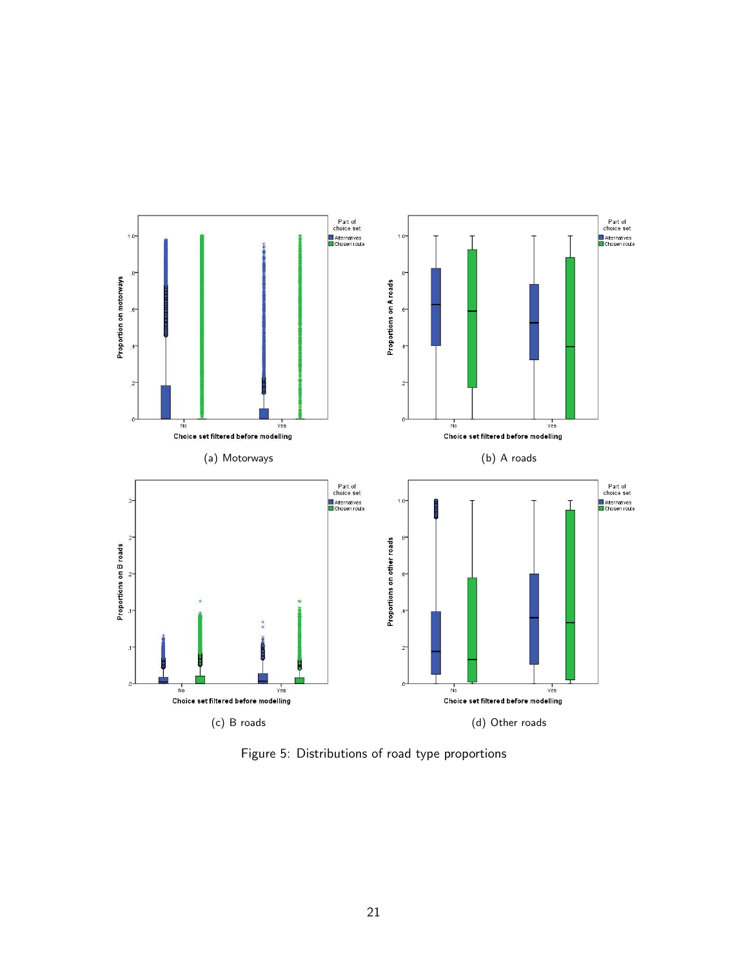

Figure 5: Distributions of road type proportions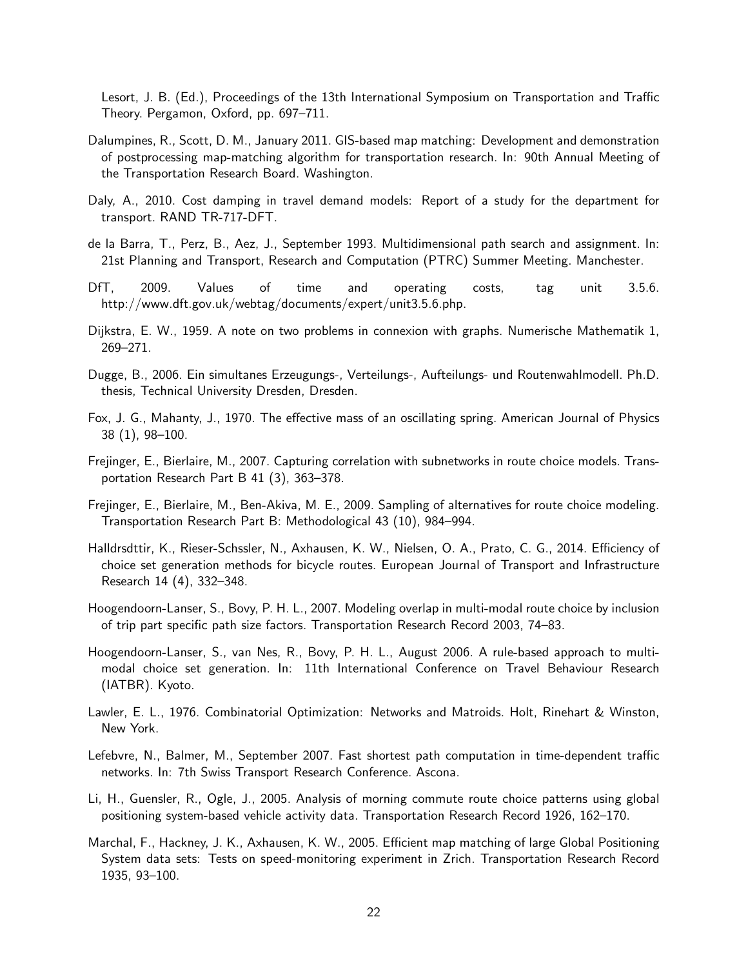Lesort, J. B. (Ed.), Proceedings of the 13th International Symposium on Transportation and Traffic Theory. Pergamon, Oxford, pp. 697–711.

- Dalumpines, R., Scott, D. M., January 2011. GIS-based map matching: Development and demonstration of postprocessing map-matching algorithm for transportation research. In: 90th Annual Meeting of the Transportation Research Board. Washington.
- Daly, A., 2010. Cost damping in travel demand models: Report of a study for the department for transport. RAND TR-717-DFT.
- de la Barra, T., Perz, B., Aez, J., September 1993. Multidimensional path search and assignment. In: 21st Planning and Transport, Research and Computation (PTRC) Summer Meeting. Manchester.
- DfT, 2009. Values of time and operating costs, tag unit 3.5.6. http://www.dft.gov.uk/webtag/documents/expert/unit3.5.6.php.
- Dijkstra, E. W., 1959. A note on two problems in connexion with graphs. Numerische Mathematik 1, 269–271.
- Dugge, B., 2006. Ein simultanes Erzeugungs-, Verteilungs-, Aufteilungs- und Routenwahlmodell. Ph.D. thesis, Technical University Dresden, Dresden.
- Fox, J. G., Mahanty, J., 1970. The effective mass of an oscillating spring. American Journal of Physics 38 (1), 98–100.
- Frejinger, E., Bierlaire, M., 2007. Capturing correlation with subnetworks in route choice models. Transportation Research Part B 41 (3), 363–378.
- Frejinger, E., Bierlaire, M., Ben-Akiva, M. E., 2009. Sampling of alternatives for route choice modeling. Transportation Research Part B: Methodological 43 (10), 984–994.
- Halldrsdttir, K., Rieser-Schssler, N., Axhausen, K. W., Nielsen, O. A., Prato, C. G., 2014. Efficiency of choice set generation methods for bicycle routes. European Journal of Transport and Infrastructure Research 14 (4), 332–348.
- Hoogendoorn-Lanser, S., Bovy, P. H. L., 2007. Modeling overlap in multi-modal route choice by inclusion of trip part specific path size factors. Transportation Research Record 2003, 74–83.
- Hoogendoorn-Lanser, S., van Nes, R., Bovy, P. H. L., August 2006. A rule-based approach to multimodal choice set generation. In: 11th International Conference on Travel Behaviour Research (IATBR). Kyoto.
- Lawler, E. L., 1976. Combinatorial Optimization: Networks and Matroids. Holt, Rinehart & Winston, New York.
- Lefebvre, N., Balmer, M., September 2007. Fast shortest path computation in time-dependent traffic networks. In: 7th Swiss Transport Research Conference. Ascona.
- Li, H., Guensler, R., Ogle, J., 2005. Analysis of morning commute route choice patterns using global positioning system-based vehicle activity data. Transportation Research Record 1926, 162–170.
- Marchal, F., Hackney, J. K., Axhausen, K. W., 2005. Efficient map matching of large Global Positioning System data sets: Tests on speed-monitoring experiment in Zrich. Transportation Research Record 1935, 93–100.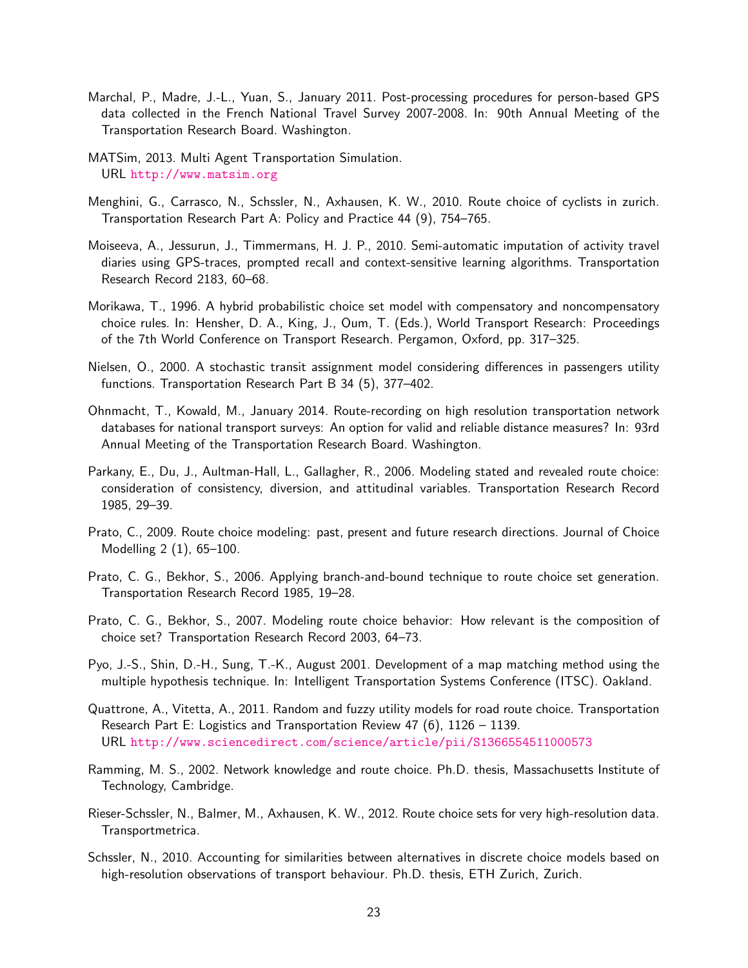- Marchal, P., Madre, J.-L., Yuan, S., January 2011. Post-processing procedures for person-based GPS data collected in the French National Travel Survey 2007-2008. In: 90th Annual Meeting of the Transportation Research Board. Washington.
- MATSim, 2013. Multi Agent Transportation Simulation. URL http://www.matsim.org
- Menghini, G., Carrasco, N., Schssler, N., Axhausen, K. W., 2010. Route choice of cyclists in zurich. Transportation Research Part A: Policy and Practice 44 (9), 754–765.
- Moiseeva, A., Jessurun, J., Timmermans, H. J. P., 2010. Semi-automatic imputation of activity travel diaries using GPS-traces, prompted recall and context-sensitive learning algorithms. Transportation Research Record 2183, 60–68.
- Morikawa, T., 1996. A hybrid probabilistic choice set model with compensatory and noncompensatory choice rules. In: Hensher, D. A., King, J., Oum, T. (Eds.), World Transport Research: Proceedings of the 7th World Conference on Transport Research. Pergamon, Oxford, pp. 317–325.
- Nielsen, O., 2000. A stochastic transit assignment model considering differences in passengers utility functions. Transportation Research Part B 34 (5), 377–402.
- Ohnmacht, T., Kowald, M., January 2014. Route-recording on high resolution transportation network databases for national transport surveys: An option for valid and reliable distance measures? In: 93rd Annual Meeting of the Transportation Research Board. Washington.
- Parkany, E., Du, J., Aultman-Hall, L., Gallagher, R., 2006. Modeling stated and revealed route choice: consideration of consistency, diversion, and attitudinal variables. Transportation Research Record 1985, 29–39.
- Prato, C., 2009. Route choice modeling: past, present and future research directions. Journal of Choice Modelling 2 (1), 65–100.
- Prato, C. G., Bekhor, S., 2006. Applying branch-and-bound technique to route choice set generation. Transportation Research Record 1985, 19–28.
- Prato, C. G., Bekhor, S., 2007. Modeling route choice behavior: How relevant is the composition of choice set? Transportation Research Record 2003, 64–73.
- Pyo, J.-S., Shin, D.-H., Sung, T.-K., August 2001. Development of a map matching method using the multiple hypothesis technique. In: Intelligent Transportation Systems Conference (ITSC). Oakland.
- Quattrone, A., Vitetta, A., 2011. Random and fuzzy utility models for road route choice. Transportation Research Part E: Logistics and Transportation Review 47 (6), 1126 – 1139. URL http://www.sciencedirect.com/science/article/pii/S1366554511000573
- Ramming, M. S., 2002. Network knowledge and route choice. Ph.D. thesis, Massachusetts Institute of Technology, Cambridge.
- Rieser-Schssler, N., Balmer, M., Axhausen, K. W., 2012. Route choice sets for very high-resolution data. Transportmetrica.
- Schssler, N., 2010. Accounting for similarities between alternatives in discrete choice models based on high-resolution observations of transport behaviour. Ph.D. thesis, ETH Zurich, Zurich.